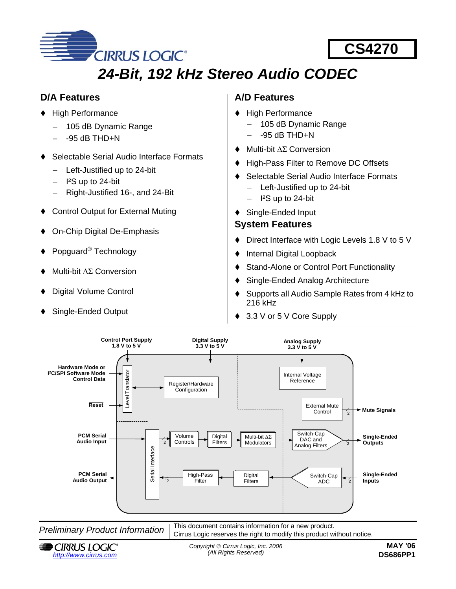

# **CS4270**

# *24-Bit, 192 kHz Stereo Audio CODEC*

### <span id="page-0-1"></span>**D/A Features**

- ◆ High Performance
	- 105 dB Dynamic Range
	- $-$  -95 dB THD+N
- Selectable Serial Audio Interface Formats
	- Left-Justified up to 24-bit
	- I²S up to 24-bit
	- Right-Justified 16-, and 24-Bit
- Control Output for External Muting
- On-Chip Digital De-Emphasis
- Popguard® Technology
- Multi-bit ∆Σ Conversion
- Digital Volume Control
- Single-Ended Output

# <span id="page-0-0"></span>**A/D Features**

- ◆ High Performance
	- 105 dB Dynamic Range
	- $-95$  dB THD $+N$
- Multi-bit ∆Σ Conversion
- High-Pass Filter to Remove DC Offsets
- Selectable Serial Audio Interface Formats
	- Left-Justified up to 24-bit
	- I²S up to 24-bit
- ◆ Single-Ended Input

### <span id="page-0-2"></span>**System Features**

- ♦ Direct Interface with Logic Levels 1.8 V to 5 V
- ◆ Internal Digital Loopback
- Stand-Alone or Control Port Functionality
- Single-Ended Analog Architecture
- ♦ Supports all Audio Sample Rates from 4 kHz to 216 kHz
- ◆ 3.3 V or 5 V Core Supply



*Preliminary Product Information*  $\vert$  This document contains information for a new product. Cirrus Logic reserves the right to modify this product without notice.



*Copyright* © *Cirrus Logic, Inc. 2006*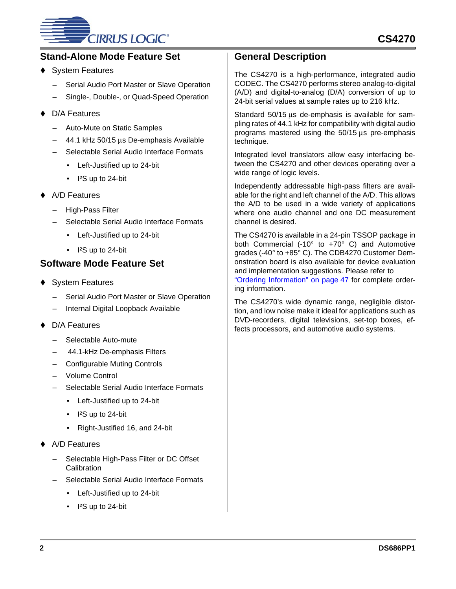# **CIRRUS LOGIC®**

### **Stand-Alone Mode Feature Set**

- System Features
	- Serial Audio Port Master or Slave Operation
	- Single-, Double-, or Quad-Speed Operation
- D/A Features
	- Auto-Mute on Static Samples
	- 44.1 kHz 50/15 µs De-emphasis Available
	- Selectable Serial Audio Interface Formats
		- Left-Justified up to 24-bit
		- I<sup>2</sup>S up to 24-bit
- A/D Features
	- High-Pass Filter
	- Selectable Serial Audio Interface Formats
		- Left-Justified up to 24-bit
		- I<sup>2</sup>S up to 24-bit

### **Software Mode Feature Set**

- ◆ System Features
	- Serial Audio Port Master or Slave Operation
	- Internal Digital Loopback Available
- D/A Features
	- Selectable Auto-mute
	- 44.1-kHz De-emphasis Filters
	- Configurable Muting Controls
	- Volume Control
	- Selectable Serial Audio Interface Formats
		- Left-Justified up to 24-bit
		- I<sup>2</sup>S up to 24-bit
		- Right-Justified 16, and 24-bit
- A/D Features
	- Selectable High-Pass Filter or DC Offset **Calibration**
	- Selectable Serial Audio Interface Formats
		- Left-Justified up to 24-bit
		- I<sup>2</sup>S up to 24-bit

### <span id="page-1-0"></span>**General Description**

The CS4270 is a high-performance, integrated audio CODEC. The CS4270 performs stereo analog-to-digital (A/D) and digital-to-analog (D/A) conversion of up to 24-bit serial values at sample rates up to 216 kHz.

Standard 50/15 µs de-emphasis is available for sampling rates of 44.1 kHz for compatibility with digital audio programs mastered using the 50/15 µs pre-emphasis technique.

Integrated level translators allow easy interfacing between the CS4270 and other devices operating over a wide range of logic levels.

Independently addressable high-pass filters are available for the right and left channel of the A/D. This allows the A/D to be used in a wide variety of applications where one audio channel and one DC measurement channel is desired.

The CS4270 is available in a 24-pin TSSOP package in both Commercial (-10° to +70° C) and Automotive grades (-40° to +85° C). The CDB4270 Customer Demonstration board is also available for device evaluation and implementation suggestions. Please refer to ["Ordering Information" on page 47](#page-46-0) for complete ordering information.

The CS4270's wide dynamic range, negligible distortion, and low noise make it ideal for applications such as DVD-recorders, digital televisions, set-top boxes, effects processors, and automotive audio systems.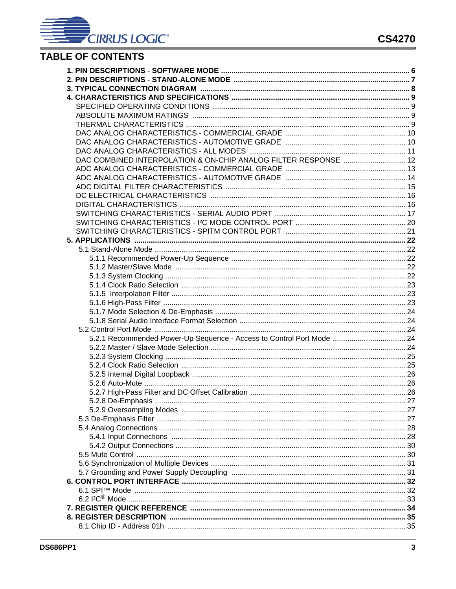

# **TABLE OF CONTENTS**

| DAC COMBINED INTERPOLATION & ON-CHIP ANALOG FILTER RESPONSE  12       |  |
|-----------------------------------------------------------------------|--|
|                                                                       |  |
|                                                                       |  |
|                                                                       |  |
|                                                                       |  |
|                                                                       |  |
|                                                                       |  |
|                                                                       |  |
|                                                                       |  |
|                                                                       |  |
|                                                                       |  |
|                                                                       |  |
|                                                                       |  |
|                                                                       |  |
|                                                                       |  |
|                                                                       |  |
|                                                                       |  |
|                                                                       |  |
|                                                                       |  |
|                                                                       |  |
| 5.2.1 Recommended Power-Up Sequence - Access to Control Port Mode  24 |  |
|                                                                       |  |
|                                                                       |  |
|                                                                       |  |
|                                                                       |  |
|                                                                       |  |
|                                                                       |  |
|                                                                       |  |
|                                                                       |  |
|                                                                       |  |
|                                                                       |  |
|                                                                       |  |
|                                                                       |  |
|                                                                       |  |
|                                                                       |  |
|                                                                       |  |
|                                                                       |  |
|                                                                       |  |
|                                                                       |  |
|                                                                       |  |
|                                                                       |  |
|                                                                       |  |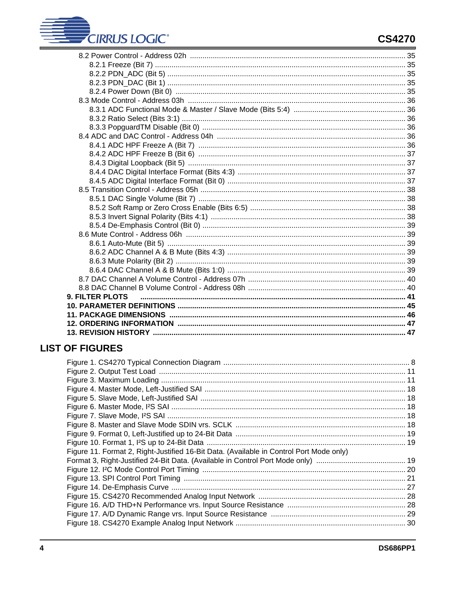# **CIRRUS LOGIC®**

| <b>9. FILTER PLOTS</b> |  |
|------------------------|--|
|                        |  |
|                        |  |
|                        |  |
|                        |  |

# **LIST OF FIGURES**

| Figure 11. Format 2, Right-Justified 16-Bit Data. (Available in Control Port Mode only) |  |
|-----------------------------------------------------------------------------------------|--|
|                                                                                         |  |
|                                                                                         |  |
|                                                                                         |  |
|                                                                                         |  |
|                                                                                         |  |
|                                                                                         |  |
|                                                                                         |  |
|                                                                                         |  |
|                                                                                         |  |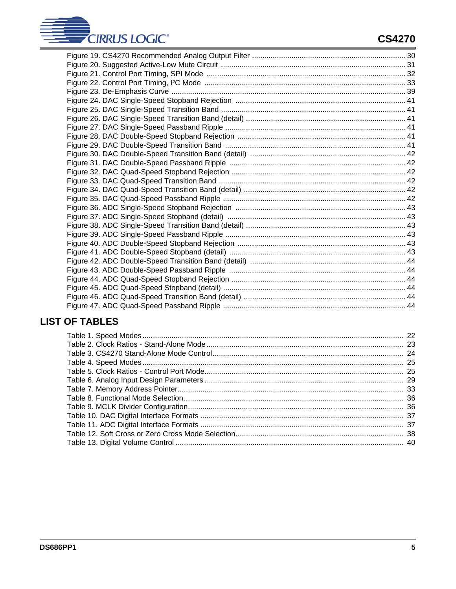

# **LIST OF TABLES**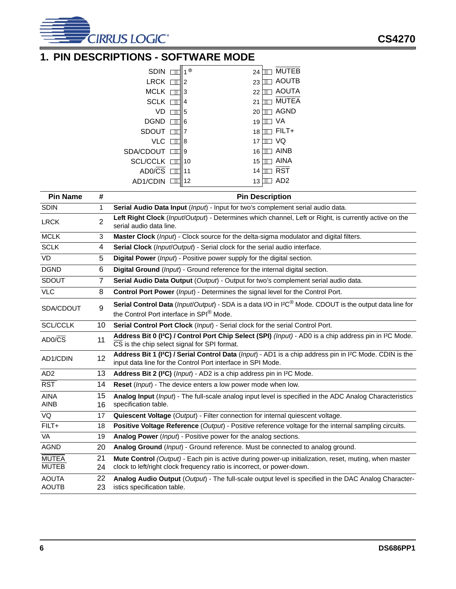

# <span id="page-5-0"></span>**1. PIN DESCRIPTIONS - SOFTWARE MODE**

| <b>SDIN</b>     | $1^{\circ}$ | 24 | <b>MUTEB</b> |
|-----------------|-------------|----|--------------|
| <b>LRCK</b>     | 2           | 23 | <b>AOUTB</b> |
| <b>MCLK</b>     | 3           | 22 | <b>AOUTA</b> |
| <b>SCLK</b>     | 4           | 21 | <b>MUTEA</b> |
| VD              | 5           | 20 | <b>AGND</b>  |
| <b>DGND</b>     | 6           | 19 | VA           |
| <b>SDOUT</b>    | 7           | 18 | $FILT+$      |
| VLC             | 8           | 17 | VQ           |
| SDA/CDOUT       | 9           | 16 | AINB         |
| <b>SCL/CCLK</b> | 10          | 15 | <b>AINA</b>  |
| AD0/CS          | 11          | 14 | <b>RST</b>   |
| AD1/CDIN        | 12          | 13 | AD2          |

| <b>Pin Name</b>              | #              | <b>Pin Description</b>                                                                                                                                                                          |
|------------------------------|----------------|-------------------------------------------------------------------------------------------------------------------------------------------------------------------------------------------------|
| <b>SDIN</b>                  | 1              | Serial Audio Data Input (Input) - Input for two's complement serial audio data.                                                                                                                 |
| <b>LRCK</b>                  | $\overline{2}$ | Left Right Clock (Input/Output) - Determines which channel, Left or Right, is currently active on the<br>serial audio data line.                                                                |
| <b>MCLK</b>                  | 3              | Master Clock (Input) - Clock source for the delta-sigma modulator and digital filters.                                                                                                          |
| <b>SCLK</b>                  | 4              | Serial Clock (Input/Output) - Serial clock for the serial audio interface.                                                                                                                      |
| VD                           | 5              | Digital Power (Input) - Positive power supply for the digital section.                                                                                                                          |
| <b>DGND</b>                  | 6              | Digital Ground (Input) - Ground reference for the internal digital section.                                                                                                                     |
| <b>SDOUT</b>                 | $\overline{7}$ | Serial Audio Data Output (Output) - Output for two's complement serial audio data.                                                                                                              |
| <b>VLC</b>                   | 8              | Control Port Power (Input) - Determines the signal level for the Control Port.                                                                                                                  |
| SDA/CDOUT                    | 9              | Serial Control Data (Input/Output) - SDA is a data I/O in I <sup>2C®</sup> Mode. CDOUT is the output data line for<br>the Control Port interface in SPI® Mode.                                  |
| <b>SCL/CCLK</b>              | 10             | Serial Control Port Clock (Input) - Serial clock for the serial Control Port.                                                                                                                   |
| $AD0/\overline{CS}$          | 11             | Address Bit 0 (I <sup>2</sup> C) / Control Port Chip Select (SPI) (Input) - AD0 is a chip address pin in I <sup>2</sup> C Mode.<br>CS is the chip select signal for SPI format.                 |
| AD1/CDIN                     | 12             | Address Bit 1 (I <sup>2</sup> C) / Serial Control Data (Input) - AD1 is a chip address pin in I <sup>2</sup> C Mode. CDIN is the<br>input data line for the Control Port interface in SPI Mode. |
| AD <sub>2</sub>              | 13             | Address Bit 2 (I <sup>2</sup> C) ( <i>Input</i> ) - AD2 is a chip address pin in I <sup>2</sup> C Mode.                                                                                         |
| $\overline{RST}$             | 14             | Reset (Input) - The device enters a low power mode when low.                                                                                                                                    |
| <b>AINA</b><br><b>AINB</b>   | 15<br>16       | Analog Input (Input) - The full-scale analog input level is specified in the ADC Analog Characteristics<br>specification table.                                                                 |
| VQ                           | 17             | Quiescent Voltage (Output) - Filter connection for internal quiescent voltage.                                                                                                                  |
| $FILT+$                      | 18             | Positive Voltage Reference (Output) - Positive reference voltage for the internal sampling circuits.                                                                                            |
| <b>VA</b>                    | 19             | Analog Power (Input) - Positive power for the analog sections.                                                                                                                                  |
| <b>AGND</b>                  | 20             | Analog Ground (Input) - Ground reference. Must be connected to analog ground.                                                                                                                   |
| <b>MUTEA</b><br><b>MUTEB</b> | 21<br>24       | Mute Control (Output) - Each pin is active during power-up initialization, reset, muting, when master<br>clock to left/right clock frequency ratio is incorrect, or power-down.                 |
| <b>AOUTA</b><br><b>AOUTB</b> | 22<br>23       | Analog Audio Output (Output) - The full-scale output level is specified in the DAC Analog Character-<br>istics specification table.                                                             |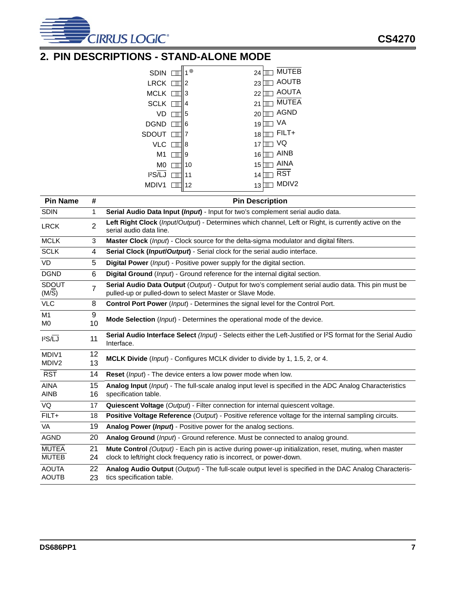

# <span id="page-6-0"></span>**2. PIN DESCRIPTIONS - STAND-ALONE MODE**

| <b>SDIN</b>         | 1  | 24 | <b>MUTEB</b>      |
|---------------------|----|----|-------------------|
| <b>LRCK</b>         | 2  | 23 | <b>AOUTB</b>      |
| MCLK                | 3  | 22 | <b>AOUTA</b>      |
| <b>SCLK</b>         | 4  | 21 | <b>MUTEA</b>      |
| VD                  | 5  | 20 | <b>AGND</b>       |
| <b>DGND</b>         | 6  | 19 | VA                |
| SDOUT               | 7  | 18 | $FILT+$           |
| VLC                 | 8  | 17 | VQ                |
| M <sub>1</sub>      | 9  | 16 | <b>AINB</b>       |
| M0                  | 10 | 15 | AINA              |
| l <sup>2</sup> S/LJ | 11 | 14 | RST               |
| MDIV1               | 12 | 13 | MDIV <sub>2</sub> |

| <b>Pin Name</b>       | #              | <b>Pin Description</b>                                                                                                                                          |
|-----------------------|----------------|-----------------------------------------------------------------------------------------------------------------------------------------------------------------|
| <b>SDIN</b>           | 1              | Serial Audio Data Input (Input) - Input for two's complement serial audio data.                                                                                 |
| <b>LRCK</b>           | $\overline{2}$ | Left Right Clock (Input/Output) - Determines which channel, Left or Right, is currently active on the<br>serial audio data line.                                |
| <b>MCLK</b>           | 3              | Master Clock (Input) - Clock source for the delta-sigma modulator and digital filters.                                                                          |
| <b>SCLK</b>           | 4              | Serial Clock (Input/Output) - Serial clock for the serial audio interface.                                                                                      |
| <b>VD</b>             | 5              | Digital Power (Input) - Positive power supply for the digital section.                                                                                          |
| <b>DGND</b>           | 6              | Digital Ground (Input) - Ground reference for the internal digital section.                                                                                     |
| <b>SDOUT</b><br>(M/S) | 7              | Serial Audio Data Output (Output) - Output for two's complement serial audio data. This pin must be<br>pulled-up or pulled-down to select Master or Slave Mode. |
| <b>VLC</b>            | 8              | Control Port Power (Input) - Determines the signal level for the Control Port.                                                                                  |
| M1                    | 9              | Mode Selection (Input) - Determines the operational mode of the device.                                                                                         |
| M <sub>0</sub>        | 10             |                                                                                                                                                                 |
| $12S/\overline{LJ}$   | 11             | Serial Audio Interface Select (Input) - Selects either the Left-Justified or I <sup>2</sup> S format for the Serial Audio<br>Interface.                         |
| MDIV1                 | 12             | MCLK Divide (Input) - Configures MCLK divider to divide by 1, 1.5, 2, or 4.                                                                                     |
| MDIV <sub>2</sub>     | 13             |                                                                                                                                                                 |
| <b>RST</b>            | 14             | Reset (Input) - The device enters a low power mode when low.                                                                                                    |
| <b>AINA</b>           | 15             | Analog Input (Input) - The full-scale analog input level is specified in the ADC Analog Characteristics                                                         |
| <b>AINB</b>           | 16             | specification table.                                                                                                                                            |
| VQ                    | 17             | Quiescent Voltage (Output) - Filter connection for internal quiescent voltage.                                                                                  |
| $FILT+$               | 18             | Positive Voltage Reference (Output) - Positive reference voltage for the internal sampling circuits.                                                            |
| <b>VA</b>             | 19             | Analog Power (Input) - Positive power for the analog sections.                                                                                                  |
| <b>AGND</b>           | 20             | Analog Ground (Input) - Ground reference. Must be connected to analog ground.                                                                                   |
| <b>MUTEA</b>          | 21             | Mute Control (Output) - Each pin is active during power-up initialization, reset, muting, when master                                                           |
| <b>MUTEB</b>          | 24             | clock to left/right clock frequency ratio is incorrect, or power-down.                                                                                          |
| <b>AOUTA</b>          | 22             | Analog Audio Output (Output) - The full-scale output level is specified in the DAC Analog Characteris-                                                          |
| <b>AOUTB</b>          | 23             | tics specification table.                                                                                                                                       |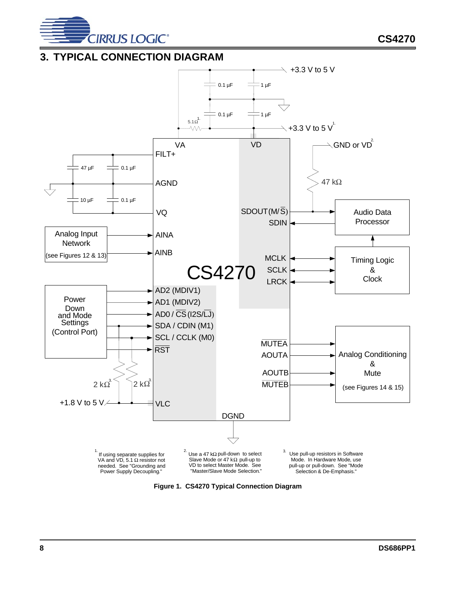

**CS4270**

### <span id="page-7-0"></span>**3. TYPICAL CONNECTION DIAGRAM**



<span id="page-7-1"></span>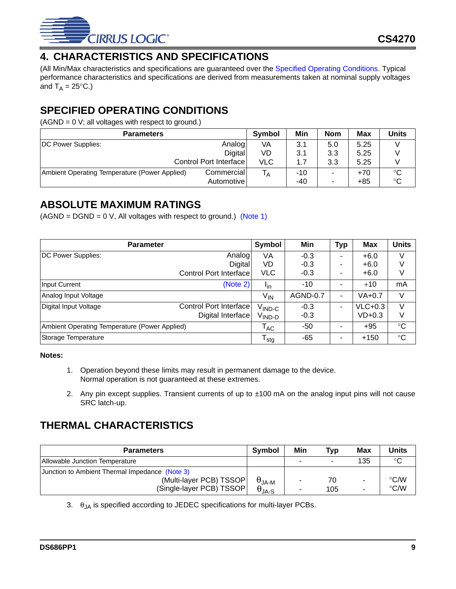

# <span id="page-8-0"></span>**4. CHARACTERISTICS AND SPECIFICATIONS**

(All Min/Max characteristics and specifications are guaranteed over the [Specified Operating Conditions.](#page-8-1) Typical performance characteristics and specifications are derived from measurements taken at nominal supply voltages and  $T_A = 25^{\circ}C$ .)

# <span id="page-8-1"></span>**SPECIFIED OPERATING CONDITIONS**

 $(AGND = 0 V;$  all voltages with respect to ground.)

| <b>Parameters</b>                             | <b>Symbol</b>          | Min        | <b>Nom</b> | <b>Max</b>               | <b>Units</b> |             |
|-----------------------------------------------|------------------------|------------|------------|--------------------------|--------------|-------------|
| DC Power Supplies:                            | Analog                 | VA         | 3.1        | 5.0                      | 5.25         |             |
|                                               | <b>Digital</b>         | VD         | 3.1        | 3.3                      | 5.25         |             |
|                                               | Control Port Interface | <b>VLC</b> | 1.7        | 3.3                      | 5.25         |             |
| Ambient Operating Temperature (Power Applied) | Commercial             | ۱Ā         | $-10$      | $\overline{\phantom{a}}$ | $+70$        | °C          |
|                                               | Automotivel            |            | -40        | ۰                        | $+85$        | $^{\circ}C$ |

### <span id="page-8-2"></span>**ABSOLUTE MAXIMUM RATINGS**

 $(AGND = DGND = 0 V, All voltages with respect to ground.)$  [\(Note 1\)](#page-8-4)

| <b>Parameter</b>                              |                        |                            | Min      | <b>Typ</b> | Max        | <b>Units</b> |
|-----------------------------------------------|------------------------|----------------------------|----------|------------|------------|--------------|
| DC Power Supplies:                            | Analog                 | VA                         | $-0.3$   |            | $+6.0$     | $\vee$       |
|                                               | Digital                | VD                         | $-0.3$   |            | $+6.0$     | V            |
|                                               | Control Port Interface | <b>VLC</b>                 | $-0.3$   |            | $+6.0$     | V            |
| <b>Input Current</b>                          | (Note 2)               | <b>I</b> <sub>in</sub>     | $-10$    |            | $+10$      | mA           |
| Analog Input Voltage                          |                        | V <sub>IN</sub>            | AGND-0.7 |            | $VA + 0.7$ | V            |
| Digital Input Voltage                         | Control Port Interface | $\rm V_{\rm IND\text{-}C}$ | $-0.3$   |            | $VLC+0.3$  | V            |
|                                               | Digital Interface      | <sup>V</sup> IND-D         | $-0.3$   |            | $VD+0.3$   | V            |
| Ambient Operating Temperature (Power Applied) |                        | $\mathsf{T}_{\mathsf{AC}}$ | -50      |            | $+95$      | $^{\circ}C$  |
| Storage Temperature                           |                        | <sup>I</sup> stg           | -65      |            | $+150$     | $^{\circ}C$  |

### <span id="page-8-4"></span>**Notes:**

- 1. Operation beyond these limits may result in permanent damage to the device. Normal operation is not guaranteed at these extremes.
- <span id="page-8-6"></span>2. Any pin except supplies. Transient currents of up to  $\pm 100$  mA on the analog input pins will not cause SRC latch-up.

# <span id="page-8-3"></span>**THERMAL CHARACTERISTICS**

| <b>Parameters</b>                              |                                    | Min | Typ | Max | Units              |
|------------------------------------------------|------------------------------------|-----|-----|-----|--------------------|
| Allowable Junction Temperature                 |                                    |     |     | 135 | $\circ$            |
| Junction to Ambient Thermal Impedance (Note 3) |                                    |     |     |     |                    |
| (Multi-layer PCB) TSSOP                        |                                    |     | 70  | -   | $\rm ^{\circ}$ C/W |
| (Single-layer PCB) TSSOP                       | $\theta_{JA-M}$<br>$\theta_{JA-S}$ |     | 105 | ۰   | $\rm ^{\circ}$ C/W |

<span id="page-8-5"></span>3.  $\theta_{JA}$  is specified according to JEDEC specifications for multi-layer PCBs.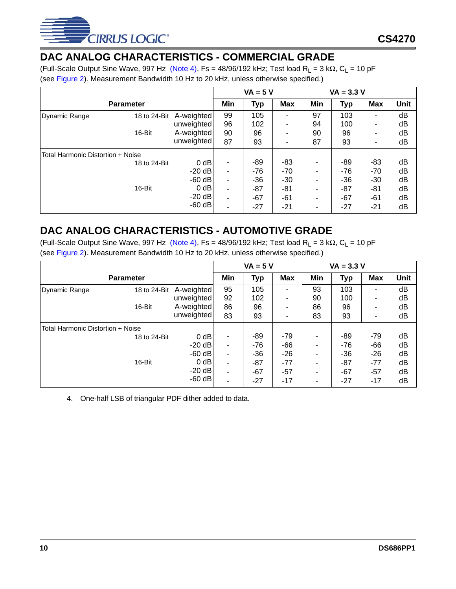

# <span id="page-9-0"></span>**DAC ANALOG CHARACTERISTICS - COMMERCIAL GRADE**

(Full-Scale Output Sine Wave, 997 Hz [\(Note 4\)](#page-9-2), Fs = 48/96/192 kHz; Test load R<sub>L</sub> = 3 k $\Omega$ , C<sub>L</sub> = 10 pF (see [Figure 2\)](#page-10-1). Measurement Bandwidth 10 Hz to 20 kHz, unless otherwise specified.)

|                                   |              |            | $VA = 5 V$               |            |            |     | $VA = 3.3 V$ |            |             |
|-----------------------------------|--------------|------------|--------------------------|------------|------------|-----|--------------|------------|-------------|
| <b>Parameter</b>                  |              |            | Min                      | <b>Typ</b> | <b>Max</b> | Min | <b>Typ</b>   | <b>Max</b> | <b>Unit</b> |
| Dynamic Range                     | 18 to 24-Bit | A-weighted | 99                       | 105        | ۰          | 97  | 103          | ۰          | dB          |
|                                   |              | unweighted | 96                       | 102        | ۰          | 94  | 100          | ۰          | dB          |
|                                   | 16-Bit       | A-weighted | 90                       | 96         | ۰          | 90  | 96           |            | dB          |
|                                   |              | unweighted | 87                       | 93         | ۰          | 87  | 93           |            | dB          |
| Total Harmonic Distortion + Noise |              |            |                          |            |            |     |              |            |             |
|                                   | 18 to 24-Bit | $0$ dB     | ۰                        | -89        | -83        | ۰   | -89          | -83        | dB          |
|                                   |              | $-20$ dB   | $\overline{\phantom{a}}$ | $-76$      | $-70$      |     | $-76$        | $-70$      | dB          |
|                                   |              | $-60$ dB   | $\overline{\phantom{a}}$ | $-36$      | $-30$      | ۰   | $-36$        | $-30$      | dB          |
|                                   | 16-Bit       | $0$ dB     | $\overline{\phantom{a}}$ | $-87$      | -81        | ۰   | $-87$        | $-81$      | dB          |
|                                   |              | $-20$ dB   |                          | $-67$      | -61        | ۰   | -67          | -61        | dB          |
|                                   |              | $-60$ dB   |                          | $-27$      | $-21$      |     | $-27$        | -21        | dB          |

# <span id="page-9-1"></span>**DAC ANALOG CHARACTERISTICS - AUTOMOTIVE GRADE**

(Full-Scale Output Sine Wave, 997 Hz [\(Note 4\)](#page-9-2), Fs = 48/96/192 kHz; Test load R<sub>L</sub> = 3 k $\Omega$ , C<sub>L</sub> = 10 pF (see [Figure 2\)](#page-10-1). Measurement Bandwidth 10 Hz to 20 kHz, unless otherwise specified.)

|                                   |                  |            | $VA = 5 V$ |            | $VA = 3.3 V$ |     |            |                          |      |
|-----------------------------------|------------------|------------|------------|------------|--------------|-----|------------|--------------------------|------|
|                                   | <b>Parameter</b> |            | Min        | <b>Typ</b> | <b>Max</b>   | Min | <b>Typ</b> | <b>Max</b>               | Unit |
| <b>Dynamic Range</b>              | 18 to 24-Bit     | A-weighted | 95         | 105        | ۰            | 93  | 103        | $\overline{\phantom{0}}$ | dB   |
|                                   |                  | unweighted | 92         | 102        |              | 90  | 100        |                          | dB   |
|                                   | 16-Bit           | A-weighted | 86         | 96         |              | 86  | 96         | ٠                        | dB   |
|                                   |                  | unweighted | 83         | 93         | ۰            | 83  | 93         |                          | dB   |
| Total Harmonic Distortion + Noise |                  |            |            |            |              |     |            |                          |      |
|                                   | 18 to 24-Bit     | $0$ dB     | ۰          | -89        | -79          |     | -89        | -79                      | dB   |
|                                   |                  | $-20$ dB   | ۰          | $-76$      | $-66$        |     | $-76$      | $-66$                    | dB   |
|                                   |                  | $-60$ dB   | ۰          | $-36$      | $-26$        |     | $-36$      | $-26$                    | dB   |
|                                   | 16-Bit           | $0$ dB     | ۰          | $-87$      | $-77$        |     | $-87$      | $-77$                    | dB   |
|                                   |                  | $-20$ dB   | ۰          | $-67$      | $-57$        |     | $-67$      | $-57$                    | dB   |
|                                   |                  | $-60$ dB   | ۰          | $-27$      | $-17$        |     | $-27$      | $-17$                    | dB   |

<span id="page-9-2"></span>4. One-half LSB of triangular PDF dither added to data.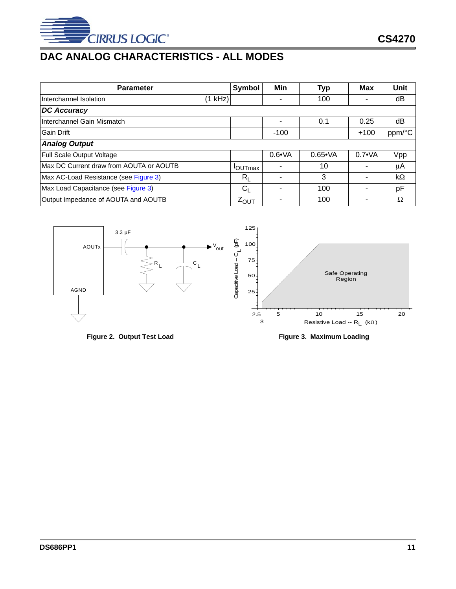

# <span id="page-10-0"></span>**DAC ANALOG CHARACTERISTICS - ALL MODES**

| <b>Parameter</b>                         |         | Symbol           | Min            | <b>Typ</b>      | <b>Max</b>     | Unit   |
|------------------------------------------|---------|------------------|----------------|-----------------|----------------|--------|
| Interchannel Isolation                   | (1 kHz) |                  |                | 100             |                | dB     |
| <b>DC Accuracy</b>                       |         |                  |                |                 |                |        |
| Interchannel Gain Mismatch               |         |                  |                | 0.1             | 0.25           | dB     |
| <b>Gain Drift</b>                        |         |                  | $-100$         |                 | $+100$         | ppm/°C |
| <b>Analog Output</b>                     |         |                  |                |                 |                |        |
| Full Scale Output Voltage                |         |                  | $0.6 \cdot VA$ | $0.65 \cdot VA$ | $0.7 \cdot VA$ | Vpp    |
| IMax DC Current draw from AOUTA or AOUTB |         | <b>OUTmax</b>    |                | 10              |                | μA     |
| Max AC-Load Resistance (see Figure 3)    |         | $R_{\rm I}$      |                | 3               |                | kΩ     |
| Max Load Capacitance (see Figure 3)      |         | $C_{L}$          |                | 100             |                | pF     |
| Output Impedance of AOUTA and AOUTB      |         | $Z_{\text{OUT}}$ |                | 100             |                | Ω      |



<span id="page-10-2"></span>

<span id="page-10-1"></span>Figure 2. Output Test Load **Figure 3. Maximum Loading**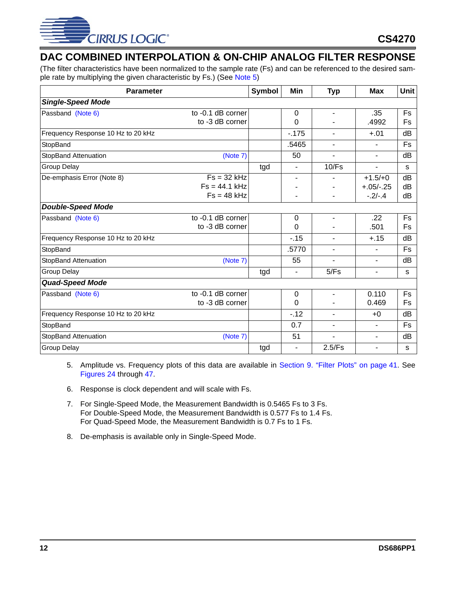

# <span id="page-11-0"></span>**DAC COMBINED INTERPOLATION & ON-CHIP ANALOG FILTER RESPONSE**

(The filter characteristics have been normalized to the sample rate (Fs) and can be referenced to the desired sample rate by multiplying the given characteristic by Fs.) (See [Note 5\)](#page-11-3)

| <b>Parameter</b>                   |                   | Symbol | Min      | <b>Typ</b>     | <b>Max</b>               | <b>Unit</b> |
|------------------------------------|-------------------|--------|----------|----------------|--------------------------|-------------|
| <b>Single-Speed Mode</b>           |                   |        |          |                |                          |             |
| Passband (Note 6)                  | to -0.1 dB corner |        | $\Omega$ | $\blacksquare$ | .35                      | Fs          |
|                                    | to -3 dB corner   |        | 0        |                | .4992                    | Fs          |
| Frequency Response 10 Hz to 20 kHz |                   |        | $-.175$  | $\blacksquare$ | $+.01$                   | dB          |
| StopBand                           |                   |        | .5465    | $\blacksquare$ | $\blacksquare$           | Fs          |
| <b>StopBand Attenuation</b>        | (Note 7)          |        | 50       | $\blacksquare$ | $\blacksquare$           | dB          |
| <b>Group Delay</b>                 |                   | tgd    | ۰        | 10/Fs          | ٠                        | S           |
| De-emphasis Error (Note 8)         | $Fs = 32 kHz$     |        | ٠        |                | $+1.5/+0$                | dB          |
|                                    | $Fs = 44.1 kHz$   |        |          |                | $+.05/-.25$              | dB          |
|                                    | $Fs = 48 kHz$     |        |          |                | $-.2/-.4$                | dB          |
| <b>Double-Speed Mode</b>           |                   |        |          |                |                          |             |
| Passband (Note 6)                  | to -0.1 dB corner |        | $\Omega$ |                | .22                      | Fs          |
|                                    | to -3 dB corner   |        | 0        |                | .501                     | Fs          |
| Frequency Response 10 Hz to 20 kHz |                   |        | $-15$    | $\blacksquare$ | $+.15$                   | dB          |
| StopBand                           |                   |        | .5770    | $\blacksquare$ | $\sim$                   | Fs          |
| <b>StopBand Attenuation</b>        | (Note 7)          |        | 55       | ٠              | $\sim$                   | dB          |
| <b>Group Delay</b>                 |                   | tgd    | ۰        | 5/Fs           | $\blacksquare$           | s           |
| <b>Quad-Speed Mode</b>             |                   |        |          |                |                          |             |
| Passband (Note 6)                  | to -0.1 dB corner |        | 0        | $\blacksquare$ | 0.110                    | Fs          |
|                                    | to -3 dB corner   |        | $\Omega$ |                | 0.469                    | Fs          |
| Frequency Response 10 Hz to 20 kHz |                   |        | $-12$    | $\blacksquare$ | $+0$                     | dB          |
| StopBand                           |                   |        | 0.7      | $\blacksquare$ | $\blacksquare$           | Fs          |
| StopBand Attenuation               | (Note 7)          |        | 51       | $\blacksquare$ | $\blacksquare$           | dB          |
| <b>Group Delay</b>                 |                   | tgd    | ۰        | 2.5/Fs         | $\overline{\phantom{0}}$ | s           |

- <span id="page-11-3"></span>5. Amplitude vs. Frequency plots of this data are available in [Section 9. "Filter Plots" on page 41.](#page-40-0) See [Figures 24](#page-40-1) through [47.](#page-43-5)
- <span id="page-11-2"></span>6. Response is clock dependent and will scale with Fs.
- <span id="page-11-1"></span>7. For Single-Speed Mode, the Measurement Bandwidth is 0.5465 Fs to 3 Fs. For Double-Speed Mode, the Measurement Bandwidth is 0.577 Fs to 1.4 Fs. For Quad-Speed Mode, the Measurement Bandwidth is 0.7 Fs to 1 Fs.
- 8. De-emphasis is available only in Single-Speed Mode.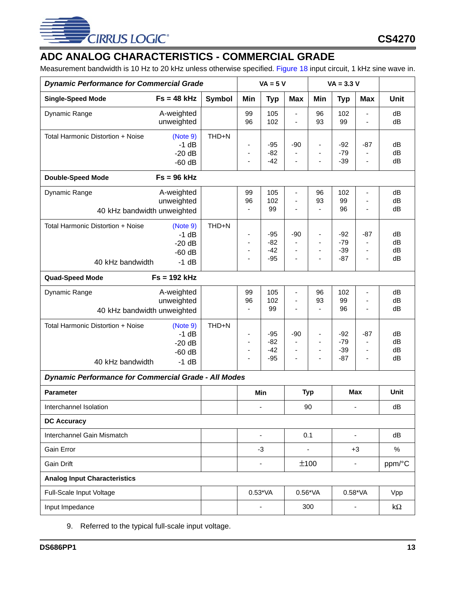

# <span id="page-12-0"></span>**ADC ANALOG CHARACTERISTICS - COMMERCIAL GRADE**

Measurement bandwidth is 10 Hz to 20 kHz unless otherwise specified. [Figure 18](#page-29-2) input circuit, 1 kHz sine wave in.

| <b>Dynamic Performance for Commercial Grade</b>             |                                                       |               | $VA = 5 V$                                      |                                  | $VA = 3.3 V$                                                                        |                                                                                          |                                  |                                                           |                      |
|-------------------------------------------------------------|-------------------------------------------------------|---------------|-------------------------------------------------|----------------------------------|-------------------------------------------------------------------------------------|------------------------------------------------------------------------------------------|----------------------------------|-----------------------------------------------------------|----------------------|
| <b>Single-Speed Mode</b>                                    | $Fs = 48 kHz$                                         | <b>Symbol</b> | Min                                             | <b>Typ</b>                       | <b>Max</b>                                                                          | Min                                                                                      | <b>Typ</b>                       | <b>Max</b>                                                | <b>Unit</b>          |
| Dynamic Range                                               | A-weighted<br>unweighted                              |               | 99<br>96                                        | 105<br>102                       | ÷,<br>$\frac{1}{2}$                                                                 | 96<br>93                                                                                 | 102<br>99                        | ÷,<br>÷,                                                  | dB<br>dB             |
| Total Harmonic Distortion + Noise                           | (Note 9)<br>$-1$ dB<br>$-20dB$<br>$-60$ dB            | THD+N         | $\overline{\phantom{a}}$<br>÷<br>$\blacksquare$ | $-95$<br>$-82$<br>$-42$          | $-90$<br>÷,<br>$\frac{1}{2}$                                                        | $\blacksquare$<br>$\blacksquare$<br>$\overline{a}$                                       | $-92$<br>$-79$<br>$-39$          | $-87$<br>$\blacksquare$<br>÷,                             | dB<br>dB<br>dB       |
| <b>Double-Speed Mode</b>                                    | $Fs = 96 kHz$                                         |               |                                                 |                                  |                                                                                     |                                                                                          |                                  |                                                           |                      |
| Dynamic Range<br>40 kHz bandwidth unweighted                | A-weighted<br>unweighted                              |               | 99<br>96<br>ä,                                  | 105<br>102<br>99                 | ۰<br>L.<br>$\frac{1}{2}$                                                            | 96<br>93<br>$\blacksquare$                                                               | 102<br>99<br>96                  | ÷,<br>÷,<br>ä,                                            | dB<br>dB<br>dB       |
| Total Harmonic Distortion + Noise<br>40 kHz bandwidth       | (Note 9)<br>$-1$ dB<br>$-20dB$<br>$-60$ dB<br>$-1$ dB | THD+N         | $\overline{\phantom{a}}$<br>÷<br>÷              | $-95$<br>$-82$<br>$-42$<br>$-95$ | $-90$<br>÷,<br>L.<br>$\overline{\phantom{0}}$                                       | $\overline{\phantom{a}}$<br>$\overline{a}$<br>$\overline{\phantom{a}}$<br>$\overline{a}$ | $-92$<br>$-79$<br>$-39$<br>$-87$ | $-87$<br>$\overline{\phantom{a}}$<br>$\blacksquare$<br>÷, | dB<br>dB<br>dB<br>dB |
| <b>Quad-Speed Mode</b>                                      | $Fs = 192 kHz$                                        |               |                                                 |                                  |                                                                                     |                                                                                          |                                  |                                                           |                      |
| Dynamic Range<br>40 kHz bandwidth unweighted                | A-weighted<br>unweighted                              |               | 99<br>96<br>ä,                                  | 105<br>102<br>99                 | ä,<br>$\frac{1}{2}$<br>ä,                                                           | 96<br>93<br>$\overline{a}$                                                               | 102<br>99<br>96                  | ÷,<br>-<br>÷,                                             | dB<br>dB<br>dB       |
| Total Harmonic Distortion + Noise<br>40 kHz bandwidth       | (Note 9)<br>$-1$ dB<br>$-20dB$<br>$-60$ dB<br>$-1$ dB | THD+N         | ÷,<br>$\overline{\phantom{a}}$<br>÷<br>÷,       | $-95$<br>$-82$<br>$-42$<br>$-95$ | $-90$<br>$\blacksquare$<br>$\qquad \qquad \blacksquare$<br>$\overline{\phantom{0}}$ | ä,<br>$\overline{\phantom{a}}$<br>$\blacksquare$<br>÷,                                   | $-92$<br>$-79$<br>$-39$<br>$-87$ | $-87$<br>$\blacksquare$<br>$\blacksquare$<br>ä,           | dB<br>dB<br>dB<br>dB |
| <b>Dynamic Performance for Commercial Grade - All Modes</b> |                                                       |               |                                                 |                                  |                                                                                     |                                                                                          |                                  |                                                           |                      |
| <b>Parameter</b>                                            |                                                       |               |                                                 | Min                              | <b>Typ</b>                                                                          |                                                                                          |                                  | <b>Max</b>                                                | Unit                 |
| Interchannel Isolation                                      |                                                       |               |                                                 |                                  |                                                                                     | 90                                                                                       |                                  | $\overline{\phantom{a}}$                                  | dB                   |
| <b>DC Accuracy</b>                                          |                                                       |               |                                                 |                                  |                                                                                     |                                                                                          |                                  |                                                           |                      |
| Interchannel Gain Mismatch                                  |                                                       |               |                                                 |                                  |                                                                                     | 0.1                                                                                      |                                  |                                                           | dB                   |
| Gain Error                                                  |                                                       |               |                                                 | -3                               |                                                                                     |                                                                                          |                                  | $+3$                                                      | $\%$                 |
| <b>Gain Drift</b>                                           |                                                       |               |                                                 |                                  |                                                                                     | ±100                                                                                     |                                  | $\overline{\phantom{a}}$                                  | ppm/°C               |
| <b>Analog Input Characteristics</b>                         |                                                       |               |                                                 |                                  |                                                                                     |                                                                                          |                                  |                                                           |                      |
| Full-Scale Input Voltage                                    |                                                       |               |                                                 | $0.53*VA$                        |                                                                                     | $0.56*VA$                                                                                |                                  | $0.58*VA$                                                 | Vpp                  |
| Input Impedance                                             |                                                       |               |                                                 |                                  |                                                                                     | 300                                                                                      |                                  |                                                           | k $\Omega$           |

<span id="page-12-1"></span>9. Referred to the typical full-scale input voltage.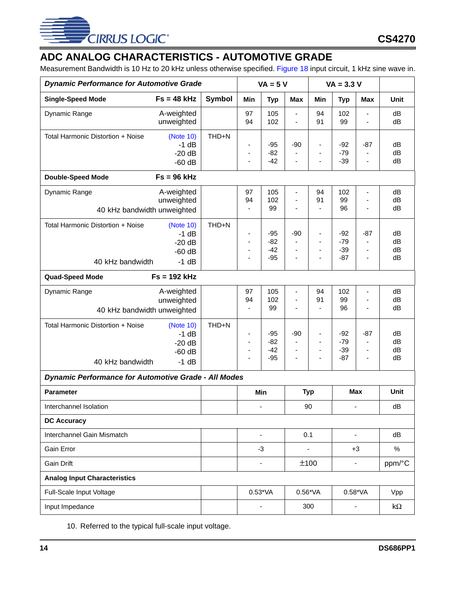

# <span id="page-13-0"></span>**ADC ANALOG CHARACTERISTICS - AUTOMOTIVE GRADE**

Measurement Bandwidth is 10 Hz to 20 kHz unless otherwise specified. [Figure 18](#page-29-2) input circuit, 1 kHz sine wave in.

| <b>Dynamic Performance for Automotive Grade</b>             |                                                        |               | $VA = 5 V$                                                                                   |                                  | $VA = 3.3 V$                                                          |                                                                                                        |                                  |                                                                                     |                      |
|-------------------------------------------------------------|--------------------------------------------------------|---------------|----------------------------------------------------------------------------------------------|----------------------------------|-----------------------------------------------------------------------|--------------------------------------------------------------------------------------------------------|----------------------------------|-------------------------------------------------------------------------------------|----------------------|
| <b>Single-Speed Mode</b>                                    | $Fs = 48 kHz$                                          | <b>Symbol</b> | Min                                                                                          | <b>Typ</b>                       | <b>Max</b>                                                            | Min                                                                                                    | <b>Typ</b>                       | <b>Max</b>                                                                          | Unit                 |
| Dynamic Range                                               | A-weighted<br>unweighted                               |               | 97<br>94                                                                                     | 105<br>102                       | $\blacksquare$<br>L,                                                  | 94<br>91                                                                                               | 102<br>99                        | $\qquad \qquad \blacksquare$<br>ä,                                                  | dB<br>dB             |
| Total Harmonic Distortion + Noise                           | (Note 10)<br>$-1$ dB<br>$-20dB$<br>$-60$ dB            | THD+N         | $\qquad \qquad \blacksquare$<br>$\overline{\phantom{a}}$<br>ä,                               | $-95$<br>$-82$<br>$-42$          | $-90$<br>$\overline{\phantom{a}}$<br>$\blacksquare$                   | $\qquad \qquad \blacksquare$<br>$\overline{\phantom{a}}$<br>$\blacksquare$                             | $-92$<br>$-79$<br>$-39$          | $-87$<br>$\overline{\phantom{a}}$<br>ä,                                             | dB<br>dB<br>dB       |
| <b>Double-Speed Mode</b>                                    | $Fs = 96 kHz$                                          |               |                                                                                              |                                  |                                                                       |                                                                                                        |                                  |                                                                                     |                      |
| Dynamic Range<br>40 kHz bandwidth unweighted                | A-weighted<br>unweighted                               |               | 97<br>94<br>$\blacksquare$                                                                   | 105<br>102<br>99                 | ٠<br>$\frac{1}{2}$<br>$\overline{\phantom{a}}$                        | 94<br>91<br>$\overline{\phantom{a}}$                                                                   | 102<br>99<br>96                  | $\blacksquare$<br>$\blacksquare$<br>$\overline{\phantom{a}}$                        | dB<br>dB<br>dB       |
| Total Harmonic Distortion + Noise<br>40 kHz bandwidth       | (Note 10)<br>$-1$ dB<br>$-20dB$<br>$-60$ dB<br>$-1$ dB | THD+N         | $\overline{\phantom{a}}$<br>$\blacksquare$<br>÷,<br>$\overline{\phantom{a}}$                 | $-95$<br>$-82$<br>$-42$<br>$-95$ | $-90$<br>$\blacksquare$<br>$\frac{1}{2}$<br>$\overline{\phantom{a}}$  | $\qquad \qquad \blacksquare$<br>$\overline{\phantom{a}}$<br>$\blacksquare$<br>$\overline{\phantom{a}}$ | $-92$<br>$-79$<br>$-39$<br>$-87$ | $-87$<br>$\overline{\phantom{a}}$<br>÷,<br>$\overline{\phantom{a}}$                 | dB<br>dB<br>dB<br>dB |
| <b>Quad-Speed Mode</b>                                      | $Fs = 192 kHz$                                         |               |                                                                                              |                                  |                                                                       |                                                                                                        |                                  |                                                                                     |                      |
| Dynamic Range<br>40 kHz bandwidth unweighted                | A-weighted<br>unweighted                               |               | 97<br>94<br>ä,                                                                               | 105<br>102<br>99                 | $\overline{\phantom{0}}$<br>÷,<br>ä,                                  | 94<br>91<br>$\overline{\phantom{a}}$                                                                   | 102<br>99<br>96                  | $\blacksquare$<br>$\blacksquare$<br>÷,                                              | dB<br>dB<br>dB       |
| Total Harmonic Distortion + Noise<br>40 kHz bandwidth       | (Note 10)<br>$-1$ dB<br>$-20dB$<br>$-60$ dB<br>$-1$ dB | THD+N         | $\blacksquare$<br>$\qquad \qquad \blacksquare$<br>$\overline{\phantom{a}}$<br>$\blacksquare$ | $-95$<br>$-82$<br>$-42$<br>$-95$ | $-90$<br>$\blacksquare$<br>$\overline{\phantom{a}}$<br>$\blacksquare$ | $\overline{\phantom{a}}$<br>$\overline{\phantom{a}}$<br>$\overline{\phantom{a}}$<br>$\blacksquare$     | $-92$<br>$-79$<br>$-39$<br>$-87$ | $-87$<br>$\blacksquare$<br>$\qquad \qquad \blacksquare$<br>$\overline{\phantom{a}}$ | dB<br>dB<br>dB<br>dB |
| <b>Dynamic Performance for Automotive Grade - All Modes</b> |                                                        |               |                                                                                              |                                  |                                                                       |                                                                                                        |                                  |                                                                                     |                      |
| <b>Parameter</b>                                            |                                                        |               |                                                                                              | <b>Min</b>                       |                                                                       | <b>Typ</b>                                                                                             |                                  | <b>Max</b>                                                                          | Unit                 |
| Interchannel Isolation                                      |                                                        |               |                                                                                              | $\blacksquare$                   |                                                                       | 90                                                                                                     |                                  | ٠                                                                                   | dB                   |
| <b>DC Accuracy</b>                                          |                                                        |               |                                                                                              |                                  |                                                                       |                                                                                                        |                                  |                                                                                     |                      |
| Interchannel Gain Mismatch                                  |                                                        |               |                                                                                              |                                  |                                                                       | 0.1                                                                                                    |                                  | $\overline{\phantom{0}}$                                                            | dB                   |
| Gain Error                                                  |                                                        |               |                                                                                              | $-3$                             |                                                                       | $\blacksquare$                                                                                         |                                  | $+3$                                                                                | $\%$                 |
| Gain Drift                                                  |                                                        |               |                                                                                              |                                  |                                                                       | ±100                                                                                                   |                                  |                                                                                     | ppm/°C               |
| <b>Analog Input Characteristics</b>                         |                                                        |               |                                                                                              |                                  |                                                                       |                                                                                                        |                                  |                                                                                     |                      |
| Full-Scale Input Voltage                                    |                                                        |               |                                                                                              | $0.53*VA$                        |                                                                       | $0.56*VA$                                                                                              |                                  | $0.58*VA$                                                                           | Vpp                  |
| Input Impedance                                             |                                                        |               |                                                                                              |                                  |                                                                       | 300                                                                                                    |                                  |                                                                                     | k $\Omega$           |

<span id="page-13-1"></span>10. Referred to the typical full-scale input voltage.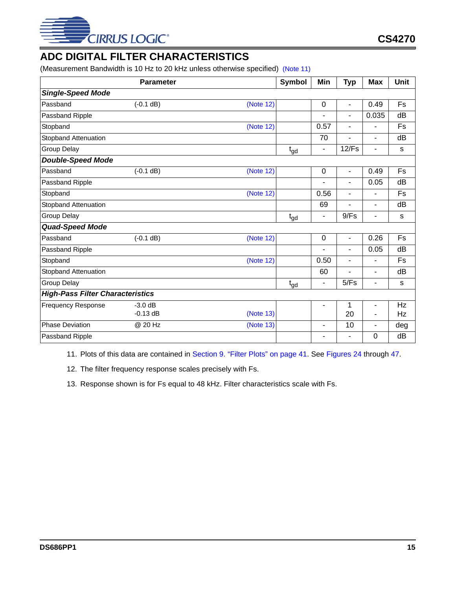

# <span id="page-14-0"></span>**ADC DIGITAL FILTER CHARACTERISTICS**

(Measurement Bandwidth is 10 Hz to 20 kHz unless otherwise specified) [\(Note 11\)](#page-14-2)

|                                         | <b>Parameter</b> |           | <b>Symbol</b>   | Min                      | <b>Typ</b>               | <b>Max</b>               | <b>Unit</b> |
|-----------------------------------------|------------------|-----------|-----------------|--------------------------|--------------------------|--------------------------|-------------|
| <b>Single-Speed Mode</b>                |                  |           |                 |                          |                          |                          |             |
| Passband                                | $(-0.1 dB)$      | (Note 12) |                 | 0                        | $\blacksquare$           | 0.49                     | Fs          |
| Passband Ripple                         |                  |           |                 | ۳                        | ä,                       | 0.035                    | dB          |
| Stopband                                |                  | (Note 12) |                 | 0.57                     | $\overline{\phantom{a}}$ | -                        | Fs          |
| Stopband Attenuation                    |                  |           |                 | 70                       | Ē,                       | $\overline{\phantom{0}}$ | dB          |
| Group Delay                             |                  |           | $t_{gd}$        | $\blacksquare$           | 12/Fs                    | -                        | s           |
| <b>Double-Speed Mode</b>                |                  |           |                 |                          |                          |                          |             |
| Passband                                | $(-0.1 dB)$      | (Note 12) |                 | $\mathbf 0$              | $\blacksquare$           | 0.49                     | Fs          |
| Passband Ripple                         |                  |           |                 | -                        | ٠                        | 0.05                     | dB          |
| Stopband                                |                  | (Note 12) |                 | 0.56                     |                          |                          | Fs          |
| <b>Stopband Attenuation</b>             |                  |           |                 | 69                       | ٠                        | Ξ.                       | dB          |
| Group Delay                             |                  |           | t <sub>gd</sub> | $\overline{\phantom{a}}$ | 9/Fs                     | ۰                        | s           |
| <b>Quad-Speed Mode</b>                  |                  |           |                 |                          |                          |                          |             |
| Passband                                | $(-0.1 dB)$      | (Note 12) |                 | $\boldsymbol{0}$         | $\overline{\phantom{a}}$ | 0.26                     | Fs          |
| Passband Ripple                         |                  |           |                 | ٠                        | L,                       | 0.05                     | dB          |
| Stopband                                |                  | (Note 12) |                 | 0.50                     | $\overline{\phantom{a}}$ | ٠                        | Fs          |
| Stopband Attenuation                    |                  |           |                 | 60                       |                          |                          | dB          |
| <b>Group Delay</b>                      |                  |           | $t_{gd}$        | $\blacksquare$           | 5/Fs                     | -                        | s           |
| <b>High-Pass Filter Characteristics</b> |                  |           |                 |                          |                          |                          |             |
| <b>Frequency Response</b>               | $-3.0$ dB        |           |                 | $\overline{\phantom{a}}$ | 1                        | $\overline{\phantom{a}}$ | Hz          |
|                                         | $-0.13$ dB       | (Note 13) |                 |                          | 20                       |                          | Hz          |
| <b>Phase Deviation</b>                  | @ 20 Hz          | (Note 13) |                 | -                        | 10                       | ۰                        | deg         |
| Passband Ripple                         |                  |           |                 | ۰                        | $\overline{\phantom{a}}$ | 0                        | dB          |

<span id="page-14-2"></span>11. Plots of this data are contained in [Section 9. "Filter Plots" on page 41](#page-40-0). See [Figures 24](#page-40-1) through [47](#page-43-5).

<span id="page-14-1"></span>12. The filter frequency response scales precisely with Fs.

<span id="page-14-3"></span>13. Response shown is for Fs equal to 48 kHz. Filter characteristics scale with Fs.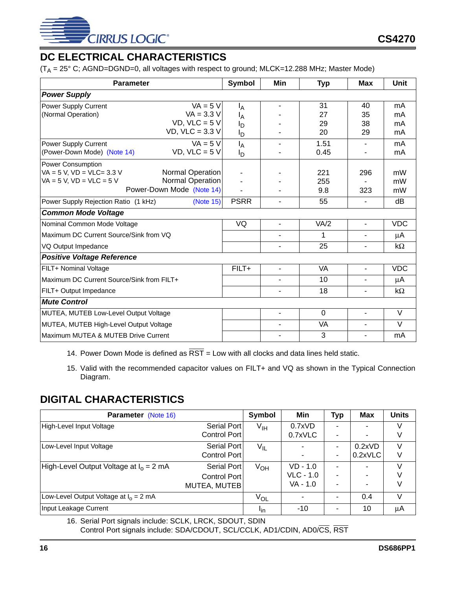

# <span id="page-15-0"></span>**DC ELECTRICAL CHARACTERISTICS**

 $(T_A = 25^\circ \text{ C}$ ; AGND=DGND=0, all voltages with respect to ground; MLCK=12.288 MHz; Master Mode)

| <b>Parameter</b>                          |                           | <b>Symbol</b>  | Min            | <b>Typ</b> | <b>Max</b>               | Unit       |
|-------------------------------------------|---------------------------|----------------|----------------|------------|--------------------------|------------|
| <b>Power Supply</b>                       |                           |                |                |            |                          |            |
| Power Supply Current                      | $VA = 5 V$                | ΙĀ             |                | 31         | 40                       | mA         |
| (Normal Operation)                        | $VA = 3.3 V$              | ١ <sub>Α</sub> |                | 27         | 35                       | mA         |
|                                           | $VD$ , $VLC = 5V$         | םי             |                | 29         | 38                       | mA         |
|                                           | VD, $VLC = 3.3 V$         | Iр             |                | 20         | 29                       | mA         |
| Power Supply Current                      | $VA = 5 V$                | $I_A$          |                | 1.51       | $\blacksquare$           | mA         |
| (Power-Down Mode) (Note 14)               | $VD$ , $VLC = 5V$         | םי             |                | 0.45       |                          | mA         |
| Power Consumption                         |                           |                |                |            |                          |            |
| $VA = 5 V$ , $VD = VLC = 3.3 V$           | <b>Normal Operation</b>   |                |                | 221        | 296                      | mW         |
| $VA = 5 V$ , $VD = VLC = 5 V$             | Normal Operation          |                |                | 255        |                          | mW         |
|                                           | Power-Down Mode (Note 14) |                |                | 9.8        | 323                      | mW         |
| Power Supply Rejection Ratio (1 kHz)      | (Note 15)                 | <b>PSRR</b>    |                | 55         |                          | dB         |
| <b>Common Mode Voltage</b>                |                           |                |                |            |                          |            |
| Nominal Common Mode Voltage               |                           | VQ             | $\blacksquare$ | VA/2       | $\blacksquare$           | <b>VDC</b> |
| Maximum DC Current Source/Sink from VQ    |                           |                | ٠              | 1          | $\blacksquare$           | μA         |
| VQ Output Impedance                       |                           |                |                | 25         | $\overline{\phantom{a}}$ | kΩ         |
| <b>Positive Voltage Reference</b>         |                           |                |                |            |                          |            |
| FILT+ Nominal Voltage                     |                           | $FILT+$        | ۰              | <b>VA</b>  | $\blacksquare$           | <b>VDC</b> |
| Maximum DC Current Source/Sink from FILT+ |                           |                |                | 10         |                          | μA         |
| FILT+ Output Impedance                    |                           |                |                | 18         | $\blacksquare$           | kΩ         |
| <b>Mute Control</b>                       |                           |                |                |            |                          |            |
| MUTEA, MUTEB Low-Level Output Voltage     |                           |                | $\sim$         | $\Omega$   | $\mathbf{r}$             | V          |
| MUTEA, MUTEB High-Level Output Voltage    |                           |                |                | VA         | $\blacksquare$           | $\vee$     |
| Maximum MUTEA & MUTEB Drive Current       |                           |                |                | 3          | $\blacksquare$           | mA         |

<span id="page-15-2"></span>14. Power Down Mode is defined as  $\overline{\text{RST}}$  = Low with all clocks and data lines held static.

<span id="page-15-3"></span>15. Valid with the recommended capacitor values on FILT+ and VQ as shown in the Typical Connection Diagram.

# <span id="page-15-1"></span>**DIGITAL CHARACTERISTICS**

| <b>Parameter</b> (Note 16)                | Symbol       | Min             | <b>Typ</b>       | <b>Max</b> | <b>Units</b> |        |
|-------------------------------------------|--------------|-----------------|------------------|------------|--------------|--------|
| High-Level Input Voltage                  | Serial Port  | $V_{\text{IH}}$ | 0.7xVD           |            |              |        |
|                                           | Control Port |                 | 0.7xVLC          |            |              | V      |
| Low-Level Input Voltage                   | Serial Port  | $V_{IL}$        |                  | -          | 0.2xVD       | V      |
|                                           | Control Port |                 | ٠                | ۰          | 0.2xVLC      | V      |
| High-Level Output Voltage at $I_0 = 2$ mA | Serial Port  | $V_{OH}$        | $VD - 1.0$       |            |              |        |
|                                           | Control Port |                 | <b>VLC - 1.0</b> | ۰          |              | V      |
|                                           | MUTEA, MUTEB |                 | VA - 1.0         |            |              | V      |
| Low-Level Output Voltage at $I_0 = 2$ mA  |              | $V_{OL}$        | ٠                | -          | 0.4          | $\vee$ |
| Input Leakage Current                     |              | <sup>I</sup> in | $-10$            |            | 10           | μA     |

<span id="page-15-4"></span>16. Serial Port signals include: SCLK, LRCK, SDOUT, SDIN Control Port signals include: SDA/CDOUT, SCL/CCLK, AD1/CDIN, AD0/CS, RST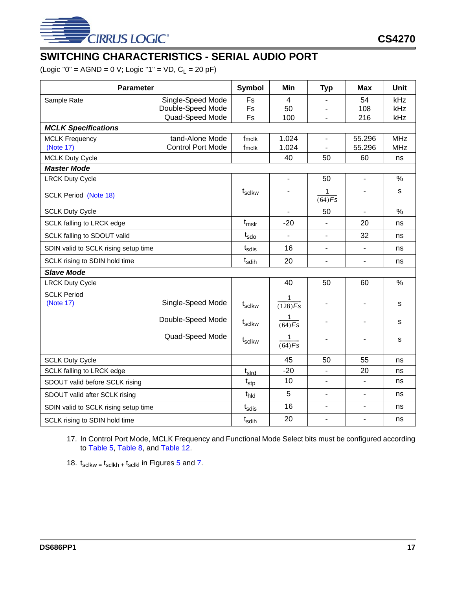

# <span id="page-16-0"></span>**SWITCHING CHARACTERISTICS - SERIAL AUDIO PORT**

 $(Logic "0" = AGND = 0 V; Logic "1" = VD, C<sub>L</sub> = 20 pF)$ 

| <b>Parameter</b>                     |                          | Symbol             | Min                       | <b>Typ</b>               | <b>Max</b>               | Unit       |
|--------------------------------------|--------------------------|--------------------|---------------------------|--------------------------|--------------------------|------------|
| Sample Rate                          | Single-Speed Mode        | Fs                 | $\overline{4}$            |                          | 54                       | kHz        |
|                                      | Double-Speed Mode        | Fs                 | 50                        |                          | 108                      | kHz        |
|                                      | Quad-Speed Mode          | Fs                 | 100                       | $\overline{a}$           | 216                      | kHz        |
| <b>MCLK Specifications</b>           |                          |                    |                           |                          |                          |            |
| <b>MCLK Frequency</b>                | tand-Alone Mode          | fmclk              | 1.024                     | $\overline{\phantom{a}}$ | 55.296                   | <b>MHz</b> |
| (Note 17)                            | <b>Control Port Mode</b> | fmclk              | 1.024                     | $\blacksquare$           | 55.296                   | <b>MHz</b> |
| <b>MCLK Duty Cycle</b>               |                          |                    | 40                        | 50                       | 60                       | ns         |
| <b>Master Mode</b>                   |                          |                    |                           |                          |                          |            |
| <b>LRCK Duty Cycle</b>               |                          |                    | $\overline{\phantom{a}}$  | 50                       | $\overline{\phantom{a}}$ | $\%$       |
| <b>SCLK Period (Note 18)</b>         |                          | $t_{\rm scIkw}$    |                           | 1<br>$(64)$ Fs           |                          | s          |
| <b>SCLK Duty Cycle</b>               |                          |                    | $\overline{\phantom{a}}$  | 50                       | $\blacksquare$           | $\%$       |
| SCLK falling to LRCK edge            |                          | $t_{mslr}$         | $-20$                     |                          | 20                       | ns         |
| SCLK falling to SDOUT valid          |                          | $t_{\text{sdo}}$   | $\overline{\phantom{a}}$  | $\blacksquare$           | 32                       | ns         |
| SDIN valid to SCLK rising setup time |                          | $t_{\rm sdis}$     | 16                        | $\blacksquare$           | $\overline{\phantom{0}}$ | ns         |
| SCLK rising to SDIN hold time        |                          | $t_{\sf sdih}$     | 20                        | $\overline{\phantom{0}}$ | ٠                        | ns         |
| <b>Slave Mode</b>                    |                          |                    |                           |                          |                          |            |
| <b>LRCK Duty Cycle</b>               |                          |                    | 40                        | 50                       | 60                       | $\%$       |
| <b>SCLK Period</b><br>(Note 17)      | Single-Speed Mode        | t <sub>sclkw</sub> | 1<br>$\overline{(128)Fs}$ | $\overline{\phantom{a}}$ | ۰                        | s          |
|                                      | Double-Speed Mode        | t <sub>sclkw</sub> | 1<br>$\overline{(64)Fs}$  |                          | ÷                        | s          |
|                                      | Quad-Speed Mode          | t <sub>sclkw</sub> | 1<br>$\sqrt{(64)Fs}$      | -                        | ۰                        | s          |
| <b>SCLK Duty Cycle</b>               |                          |                    | 45                        | 50                       | 55                       | ns         |
| <b>SCLK falling to LRCK edge</b>     |                          | $t_{\sf s}$        | $-20$                     | $\overline{\phantom{0}}$ | 20                       | ns         |
| SDOUT valid before SCLK rising       |                          | $t_{\text{stp}}$   | 10                        | $\overline{\phantom{a}}$ | $\blacksquare$           | ns         |
| SDOUT valid after SCLK rising        |                          | t <sub>hld</sub>   | 5                         | $\blacksquare$           | $\overline{\phantom{m}}$ | ns         |
| SDIN valid to SCLK rising setup time |                          | $t_{\rm sdis}$     | 16                        | $\overline{a}$           | ÷,                       | ns         |
| SCLK rising to SDIN hold time        |                          | t <sub>sdih</sub>  | 20                        | $\overline{\phantom{a}}$ | $\overline{\phantom{m}}$ | ns         |

<span id="page-16-2"></span>17. In Control Port Mode, MCLK Frequency and Functional Mode Select bits must be configured according to [Table 5](#page-24-3), [Table 8](#page-35-6), and [Table 12](#page-19-1).

<span id="page-16-1"></span>18.  $t_{\text{sc}$ lkw =  $t_{\text{sc}$ lkh +  $t_{\text{sc}$ lkl in Figures [5](#page-17-1) and [7](#page-17-3).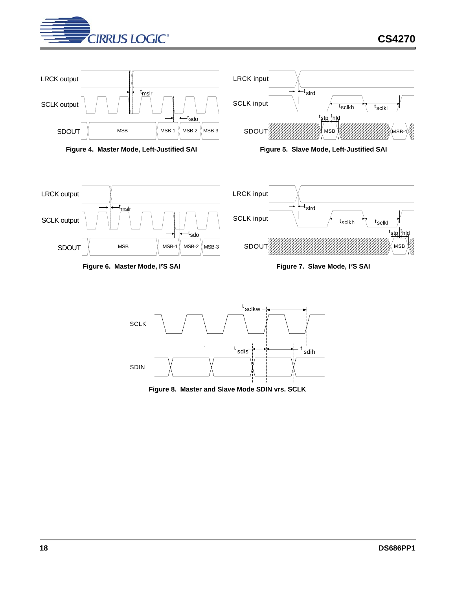

<span id="page-17-2"></span>SDOUT

<span id="page-17-0"></span>

<span id="page-17-1"></span>

Figure 6. Master Mode, <sup>12</sup>S SAI Figure 7. Slave Mode, <sup>12</sup>S SAI



 $MSB$   $\parallel$  MSB-1  $\parallel$  MSB-2  $\parallel$  MSB-3

<span id="page-17-3"></span>t sdo

<span id="page-17-4"></span>**Figure 8. Master and Slave Mode SDIN vrs. SCLK**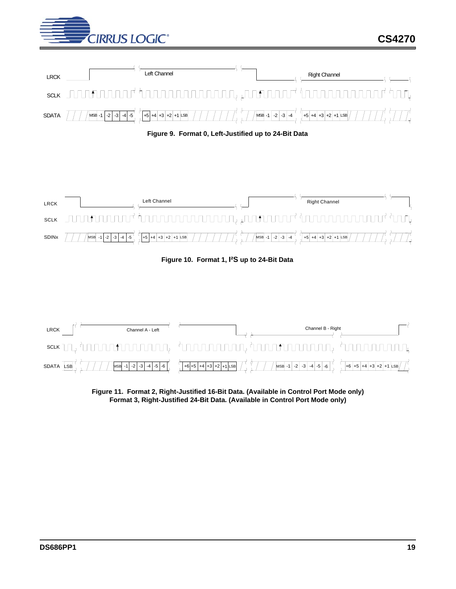





<span id="page-18-0"></span>

**Figure 10. Format 1, I²S up to 24-Bit Data**

<span id="page-18-1"></span>

<span id="page-18-2"></span>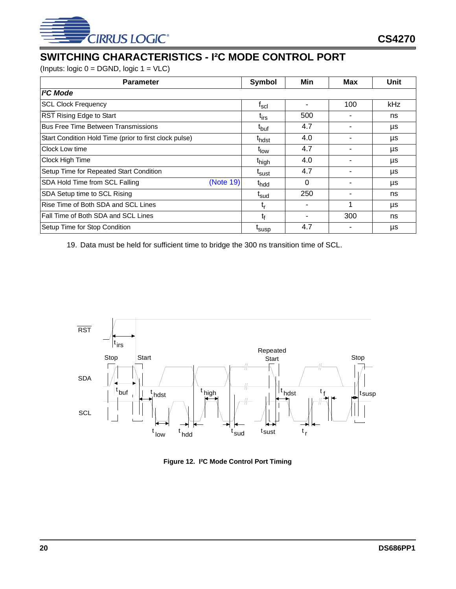

# <span id="page-19-0"></span>**SWITCHING CHARACTERISTICS - I²C MODE CONTROL PORT**

(Inputs: logic  $0 = DGND$ , logic  $1 = VLC$ )

| <b>Parameter</b>                                       | <b>Symbol</b>               | Min | Max | Unit |
|--------------------------------------------------------|-----------------------------|-----|-----|------|
| <sup>2</sup> C Mode                                    |                             |     |     |      |
| <b>SCL Clock Frequency</b>                             | $\mathsf{t}_{\mathsf{scl}}$ |     | 100 | kHz  |
| RST Rising Edge to Start                               | t <sub>irs</sub>            | 500 |     | ns   |
| <b>Bus Free Time Between Transmissions</b>             | t <sub>buf</sub>            | 4.7 |     | μs   |
| Start Condition Hold Time (prior to first clock pulse) | t <sub>hdst</sub>           | 4.0 |     | μs   |
| Clock Low time                                         | t <sub>low</sub>            | 4.7 |     | μs   |
| Clock High Time                                        | t <sub>high</sub>           | 4.0 |     | μs   |
| Setup Time for Repeated Start Condition                | t <sub>sust</sub>           | 4.7 |     | μs   |
| (Note 19)<br>SDA Hold Time from SCL Falling            | t <sub>hdd</sub>            | 0   |     | μs   |
| SDA Setup time to SCL Rising                           | t <sub>sud</sub>            | 250 |     | ns   |
| Rise Time of Both SDA and SCL Lines                    | t,                          |     |     | μs   |
| Fall Time of Both SDA and SCL Lines                    | t <sub>f</sub>              |     | 300 | ns   |
| Setup Time for Stop Condition                          | t <sub>susp</sub>           | 4.7 |     | μs   |

<span id="page-19-2"></span>19. Data must be held for sufficient time to bridge the 300 ns transition time of SCL.



<span id="page-19-1"></span>**Figure 12. I²C Mode Control Port Timing**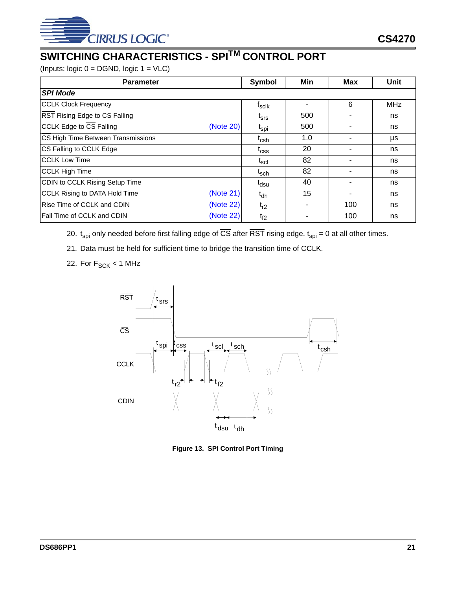

# <span id="page-20-0"></span>**SWITCHING CHARACTERISTICS - SPITM CONTROL PORT**

(Inputs: logic 0 = DGND, logic 1 = VLC)

| <b>Parameter</b>                           | Symbol                        | Min | <b>Max</b> | <b>Unit</b> |
|--------------------------------------------|-------------------------------|-----|------------|-------------|
| <b>SPI Mode</b>                            |                               |     |            |             |
| <b>CCLK Clock Frequency</b>                | $f_{\sf sclk}$                | ۰   | 6          | <b>MHz</b>  |
| RST Rising Edge to CS Falling              | $t_{\rm srs}$                 | 500 |            | ns          |
| CCLK Edge to CS Falling<br>(Note 20)       | t <sub>spi</sub>              | 500 |            | ns          |
| CS High Time Between Transmissions         | $\mathfrak{r}_{\mathrm{csh}}$ | 1.0 |            | μs          |
| CS Falling to CCLK Edge                    | $\mathfrak{r}_{\text{CSS}}$   | 20  |            | ns          |
| <b>CCLK Low Time</b>                       | $\mathfrak{r}_{\sf scl}$      | 82  |            | ns          |
| <b>CCLK High Time</b>                      | $\mathfrak{r}_{\text{sch}}$   | 82  |            | ns          |
| CDIN to CCLK Rising Setup Time             | t <sub>dsu</sub>              | 40  |            | ns          |
| (Note 21)<br>CCLK Rising to DATA Hold Time | $t_{dh}$                      | 15  |            | ns          |
| Rise Time of CCLK and CDIN<br>(Note 22)    | $t_{r2}$                      |     | 100        | ns          |
| (Note 22)<br>Fall Time of CCLK and CDIN    | $t_{f2}$                      |     | 100        | ns          |

- <span id="page-20-2"></span>20.  $t_{spl}$  only needed before first falling edge of  $\overline{CS}$  after  $\overline{RST}$  rising edge.  $t_{spl} = 0$  at all other times.
- <span id="page-20-3"></span>21. Data must be held for sufficient time to bridge the transition time of CCLK.
- <span id="page-20-4"></span>22. For  $F_{\text{SCK}}$  < 1 MHz



<span id="page-20-1"></span>**Figure 13. SPI Control Port Timing**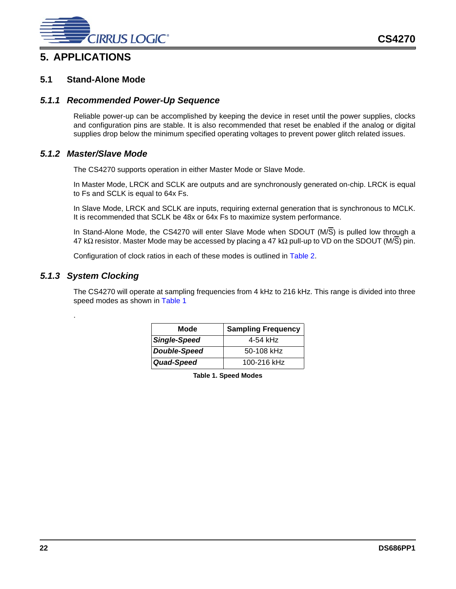

### <span id="page-21-1"></span><span id="page-21-0"></span>**5.1 Stand-Alone Mode**

### <span id="page-21-2"></span>*5.1.1 Recommended Power-Up Sequence*

Reliable power-up can be accomplished by keeping the device in reset until the power supplies, clocks and configuration pins are stable. It is also recommended that reset be enabled if the analog or digital supplies drop below the minimum specified operating voltages to prevent power glitch related issues.

### <span id="page-21-3"></span>*5.1.2 Master/Slave Mode*

The CS4270 supports operation in either Master Mode or Slave Mode.

In Master Mode, LRCK and SCLK are outputs and are synchronously generated on-chip. LRCK is equal to Fs and SCLK is equal to 64x Fs.

In Slave Mode, LRCK and SCLK are inputs, requiring external generation that is synchronous to MCLK. It is recommended that SCLK be 48x or 64x Fs to maximize system performance.

In Stand-Alone Mode, the CS4270 will enter Slave Mode when SDOUT (M/S) is pulled low through a 47 kΩ resistor. Master Mode may be accessed by placing a 47 kΩ pull-up to VD on the SDOUT (M/S) pin.

Configuration of clock ratios in each of these modes is outlined in [Table 2.](#page-22-3)

### <span id="page-21-4"></span>*5.1.3 System Clocking*

<span id="page-21-5"></span>.

The CS4270 will operate at sampling frequencies from 4 kHz to 216 kHz. This range is divided into three speed modes as shown in [Table 1](#page-21-5)

| Mode         | <b>Sampling Frequency</b> |
|--------------|---------------------------|
| Single-Speed | 4-54 kHz                  |
| Double-Speed | $50-108$ kHz              |
| Quad-Speed   | 100-216 kHz               |

**Table 1. Speed Modes**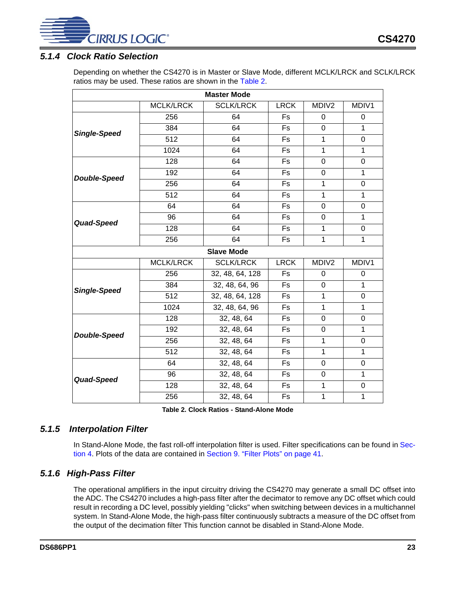

### <span id="page-22-0"></span>*5.1.4 Clock Ratio Selection*

Depending on whether the CS4270 is in Master or Slave Mode, different MCLK/LRCK and SCLK/LRCK ratios may be used. These ratios are shown in the [Table 2.](#page-22-3)

| <b>MCLK/LRCK</b><br><b>SCLK/LRCK</b><br><b>LRCK</b><br>MDIV <sub>2</sub><br>256<br>64<br><b>Fs</b><br>0<br>0<br>$\overline{1}$<br>384<br>64<br>Fs<br>$\mathbf 0$<br><b>Single-Speed</b><br>512<br>64<br>Fs<br>$\mathbf{1}$<br>$\mathbf 0$<br>1024<br><b>Fs</b><br>$\mathbf{1}$<br>1<br>64<br>128<br>64<br>Fs<br>0<br>0<br>192<br>64<br>1<br>Fs<br>0<br><b>Double-Speed</b><br>256<br><b>Fs</b><br>$\mathbf{1}$<br>$\boldsymbol{0}$<br>64<br>$\overline{512}$<br>$\overline{1}$<br>64<br>Fs<br>$\mathbf{1}$<br>64<br>64<br>Fs<br>0<br>0<br>1<br>96<br>64<br>Fs<br>0<br>Quad-Speed<br>128<br>64<br>Fs<br>$\mathbf{1}$<br>0<br>256<br>1<br>64<br>Fs<br>$\mathbf 1$<br><b>Slave Mode</b><br><b>MCLK/LRCK</b><br><b>LRCK</b><br><b>SCLK/LRCK</b><br>MDIV2<br>256<br>32, 48, 64, 128<br><b>Fs</b><br>0<br>0<br>32, 48, 64, 96<br>1<br>384<br>Fs<br>0<br><b>Single-Speed</b><br>512<br>32, 48, 64, 128<br><b>Fs</b><br>$\mathbf{1}$<br>$\boldsymbol{0}$<br>32, 48, 64, 96<br>1024<br>$\mathbf{1}$<br>$\mathbf{1}$<br>Fs<br>32, 48, 64<br>128<br>Fs<br>$\mathbf 0$<br>0<br>32, 48, 64<br>$\mathbf{1}$<br>192<br>Fs<br>0<br><b>Double-Speed</b><br>256<br>32, 48, 64<br>$\mathbf{1}$<br>$\mathbf 0$<br>Fs<br>32, 48, 64<br>512<br><b>Fs</b><br>$\mathbf{1}$<br>1<br>32, 48, 64<br>64<br>Fs<br>$\boldsymbol{0}$<br>0<br>32, 48, 64<br>$\mathbf{1}$<br>96<br><b>Fs</b><br>0<br>Quad-Speed<br>32, 48, 64<br>128<br><b>Fs</b><br>$\mathbf{1}$<br>0<br>32, 48, 64<br>$\mathsf{F}\mathsf{s}$<br>$\mathbf 1$<br>$\mathbf 1$<br>256 | <b>Master Mode</b> |  |  |  |  |       |  |  |  |  |
|--------------------------------------------------------------------------------------------------------------------------------------------------------------------------------------------------------------------------------------------------------------------------------------------------------------------------------------------------------------------------------------------------------------------------------------------------------------------------------------------------------------------------------------------------------------------------------------------------------------------------------------------------------------------------------------------------------------------------------------------------------------------------------------------------------------------------------------------------------------------------------------------------------------------------------------------------------------------------------------------------------------------------------------------------------------------------------------------------------------------------------------------------------------------------------------------------------------------------------------------------------------------------------------------------------------------------------------------------------------------------------------------------------------------------------------------------------------------------------------------------------------------|--------------------|--|--|--|--|-------|--|--|--|--|
|                                                                                                                                                                                                                                                                                                                                                                                                                                                                                                                                                                                                                                                                                                                                                                                                                                                                                                                                                                                                                                                                                                                                                                                                                                                                                                                                                                                                                                                                                                                    |                    |  |  |  |  | MDIV1 |  |  |  |  |
|                                                                                                                                                                                                                                                                                                                                                                                                                                                                                                                                                                                                                                                                                                                                                                                                                                                                                                                                                                                                                                                                                                                                                                                                                                                                                                                                                                                                                                                                                                                    |                    |  |  |  |  |       |  |  |  |  |
|                                                                                                                                                                                                                                                                                                                                                                                                                                                                                                                                                                                                                                                                                                                                                                                                                                                                                                                                                                                                                                                                                                                                                                                                                                                                                                                                                                                                                                                                                                                    |                    |  |  |  |  |       |  |  |  |  |
|                                                                                                                                                                                                                                                                                                                                                                                                                                                                                                                                                                                                                                                                                                                                                                                                                                                                                                                                                                                                                                                                                                                                                                                                                                                                                                                                                                                                                                                                                                                    |                    |  |  |  |  |       |  |  |  |  |
|                                                                                                                                                                                                                                                                                                                                                                                                                                                                                                                                                                                                                                                                                                                                                                                                                                                                                                                                                                                                                                                                                                                                                                                                                                                                                                                                                                                                                                                                                                                    |                    |  |  |  |  |       |  |  |  |  |
|                                                                                                                                                                                                                                                                                                                                                                                                                                                                                                                                                                                                                                                                                                                                                                                                                                                                                                                                                                                                                                                                                                                                                                                                                                                                                                                                                                                                                                                                                                                    |                    |  |  |  |  |       |  |  |  |  |
|                                                                                                                                                                                                                                                                                                                                                                                                                                                                                                                                                                                                                                                                                                                                                                                                                                                                                                                                                                                                                                                                                                                                                                                                                                                                                                                                                                                                                                                                                                                    |                    |  |  |  |  |       |  |  |  |  |
|                                                                                                                                                                                                                                                                                                                                                                                                                                                                                                                                                                                                                                                                                                                                                                                                                                                                                                                                                                                                                                                                                                                                                                                                                                                                                                                                                                                                                                                                                                                    |                    |  |  |  |  |       |  |  |  |  |
|                                                                                                                                                                                                                                                                                                                                                                                                                                                                                                                                                                                                                                                                                                                                                                                                                                                                                                                                                                                                                                                                                                                                                                                                                                                                                                                                                                                                                                                                                                                    |                    |  |  |  |  |       |  |  |  |  |
|                                                                                                                                                                                                                                                                                                                                                                                                                                                                                                                                                                                                                                                                                                                                                                                                                                                                                                                                                                                                                                                                                                                                                                                                                                                                                                                                                                                                                                                                                                                    |                    |  |  |  |  |       |  |  |  |  |
|                                                                                                                                                                                                                                                                                                                                                                                                                                                                                                                                                                                                                                                                                                                                                                                                                                                                                                                                                                                                                                                                                                                                                                                                                                                                                                                                                                                                                                                                                                                    |                    |  |  |  |  |       |  |  |  |  |
|                                                                                                                                                                                                                                                                                                                                                                                                                                                                                                                                                                                                                                                                                                                                                                                                                                                                                                                                                                                                                                                                                                                                                                                                                                                                                                                                                                                                                                                                                                                    |                    |  |  |  |  |       |  |  |  |  |
|                                                                                                                                                                                                                                                                                                                                                                                                                                                                                                                                                                                                                                                                                                                                                                                                                                                                                                                                                                                                                                                                                                                                                                                                                                                                                                                                                                                                                                                                                                                    |                    |  |  |  |  |       |  |  |  |  |
|                                                                                                                                                                                                                                                                                                                                                                                                                                                                                                                                                                                                                                                                                                                                                                                                                                                                                                                                                                                                                                                                                                                                                                                                                                                                                                                                                                                                                                                                                                                    |                    |  |  |  |  |       |  |  |  |  |
|                                                                                                                                                                                                                                                                                                                                                                                                                                                                                                                                                                                                                                                                                                                                                                                                                                                                                                                                                                                                                                                                                                                                                                                                                                                                                                                                                                                                                                                                                                                    |                    |  |  |  |  | MDIV1 |  |  |  |  |
|                                                                                                                                                                                                                                                                                                                                                                                                                                                                                                                                                                                                                                                                                                                                                                                                                                                                                                                                                                                                                                                                                                                                                                                                                                                                                                                                                                                                                                                                                                                    |                    |  |  |  |  |       |  |  |  |  |
|                                                                                                                                                                                                                                                                                                                                                                                                                                                                                                                                                                                                                                                                                                                                                                                                                                                                                                                                                                                                                                                                                                                                                                                                                                                                                                                                                                                                                                                                                                                    |                    |  |  |  |  |       |  |  |  |  |
|                                                                                                                                                                                                                                                                                                                                                                                                                                                                                                                                                                                                                                                                                                                                                                                                                                                                                                                                                                                                                                                                                                                                                                                                                                                                                                                                                                                                                                                                                                                    |                    |  |  |  |  |       |  |  |  |  |
|                                                                                                                                                                                                                                                                                                                                                                                                                                                                                                                                                                                                                                                                                                                                                                                                                                                                                                                                                                                                                                                                                                                                                                                                                                                                                                                                                                                                                                                                                                                    |                    |  |  |  |  |       |  |  |  |  |
|                                                                                                                                                                                                                                                                                                                                                                                                                                                                                                                                                                                                                                                                                                                                                                                                                                                                                                                                                                                                                                                                                                                                                                                                                                                                                                                                                                                                                                                                                                                    |                    |  |  |  |  |       |  |  |  |  |
|                                                                                                                                                                                                                                                                                                                                                                                                                                                                                                                                                                                                                                                                                                                                                                                                                                                                                                                                                                                                                                                                                                                                                                                                                                                                                                                                                                                                                                                                                                                    |                    |  |  |  |  |       |  |  |  |  |
|                                                                                                                                                                                                                                                                                                                                                                                                                                                                                                                                                                                                                                                                                                                                                                                                                                                                                                                                                                                                                                                                                                                                                                                                                                                                                                                                                                                                                                                                                                                    |                    |  |  |  |  |       |  |  |  |  |
|                                                                                                                                                                                                                                                                                                                                                                                                                                                                                                                                                                                                                                                                                                                                                                                                                                                                                                                                                                                                                                                                                                                                                                                                                                                                                                                                                                                                                                                                                                                    |                    |  |  |  |  |       |  |  |  |  |
|                                                                                                                                                                                                                                                                                                                                                                                                                                                                                                                                                                                                                                                                                                                                                                                                                                                                                                                                                                                                                                                                                                                                                                                                                                                                                                                                                                                                                                                                                                                    |                    |  |  |  |  |       |  |  |  |  |
|                                                                                                                                                                                                                                                                                                                                                                                                                                                                                                                                                                                                                                                                                                                                                                                                                                                                                                                                                                                                                                                                                                                                                                                                                                                                                                                                                                                                                                                                                                                    |                    |  |  |  |  |       |  |  |  |  |
|                                                                                                                                                                                                                                                                                                                                                                                                                                                                                                                                                                                                                                                                                                                                                                                                                                                                                                                                                                                                                                                                                                                                                                                                                                                                                                                                                                                                                                                                                                                    |                    |  |  |  |  |       |  |  |  |  |
|                                                                                                                                                                                                                                                                                                                                                                                                                                                                                                                                                                                                                                                                                                                                                                                                                                                                                                                                                                                                                                                                                                                                                                                                                                                                                                                                                                                                                                                                                                                    |                    |  |  |  |  |       |  |  |  |  |

**Table 2. Clock Ratios - Stand-Alone Mode**

### <span id="page-22-3"></span><span id="page-22-1"></span>*5.1.5 Interpolation Filter*

In Stand-Alone Mode, the fast roll-off interpolation filter is used. Filter specifications can be found in [Sec](#page-8-0)[tion 4](#page-8-0). Plots of the data are contained in [Section 9. "Filter Plots" on page 41.](#page-40-0)

### <span id="page-22-2"></span>*5.1.6 High-Pass Filter*

The operational amplifiers in the input circuitry driving the CS4270 may generate a small DC offset into the ADC. The CS4270 includes a high-pass filter after the decimator to remove any DC offset which could result in recording a DC level, possibly yielding "clicks" when switching between devices in a multichannel system. In Stand-Alone Mode, the high-pass filter continuously subtracts a measure of the DC offset from the output of the decimation filter This function cannot be disabled in Stand-Alone Mode.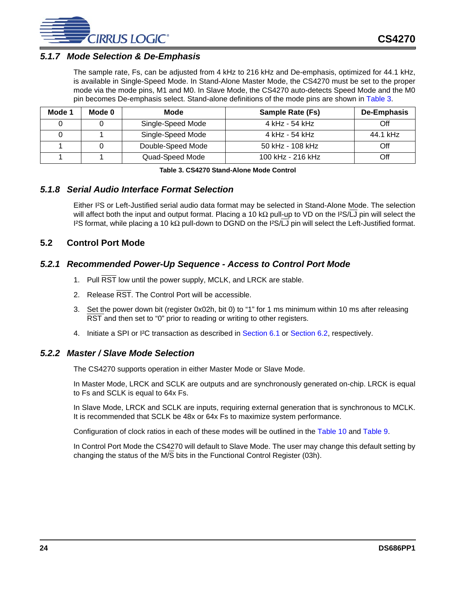

### <span id="page-23-0"></span>*5.1.7 Mode Selection & De-Emphasis*

The sample rate, Fs, can be adjusted from 4 kHz to 216 kHz and De-emphasis, optimized for 44.1 kHz, is available in Single-Speed Mode. In Stand-Alone Master Mode, the CS4270 must be set to the proper mode via the mode pins, M1 and M0. In Slave Mode, the CS4270 auto-detects Speed Mode and the M0 pin becomes De-emphasis select. Stand-alone definitions of the mode pins are shown in [Table 3](#page-23-5).

| Mode 1 | Mode 0 | Mode              | <b>Sample Rate (Fs)</b> | De-Emphasis |
|--------|--------|-------------------|-------------------------|-------------|
|        |        | Single-Speed Mode | 4 kHz - 54 kHz          | Off         |
|        |        | Single-Speed Mode | 4 kHz - 54 kHz          | 44.1 kHz    |
|        |        | Double-Speed Mode | 50 kHz - 108 kHz        | Off         |
|        |        | Quad-Speed Mode   | 100 kHz - 216 kHz       | Off         |

#### **Table 3. CS4270 Stand-Alone Mode Control**

### <span id="page-23-5"></span><span id="page-23-1"></span>*5.1.8 Serial Audio Interface Format Selection*

Either I²S or Left-Justified serial audio data format may be selected in Stand-Alone Mode. The selection will affect both the input and output format. Placing a 10 kΩ pull-up to VD on the I²S/LJ pin will select the I²S format, while placing a 10 kΩ pull-down to DGND on the I²S/LJ pin will select the Left-Justified format.

### <span id="page-23-2"></span>**5.2 Control Port Mode**

### <span id="page-23-3"></span>*5.2.1 Recommended Power-Up Sequence - Access to Control Port Mode*

- 1. Pull RST low until the power supply, MCLK, and LRCK are stable.
- 2. Release  $\overline{\text{RST}}$ . The Control Port will be accessible.
- 3. Set the power down bit (register 0x02h, bit 0) to "1" for 1 ms minimum within 10 ms after releasing RST and then set to "0" prior to reading or writing to other registers.
- 4. Initiate a SPI or I²C transaction as described in [Section 6.1](#page-31-1) or [Section 6.2](#page-32-0), respectively.

### <span id="page-23-4"></span>*5.2.2 Master / Slave Mode Selection*

The CS4270 supports operation in either Master Mode or Slave Mode.

In Master Mode, LRCK and SCLK are outputs and are synchronously generated on-chip. LRCK is equal to Fs and SCLK is equal to 64x Fs.

In Slave Mode, LRCK and SCLK are inputs, requiring external generation that is synchronous to MCLK. It is recommended that SCLK be 48x or 64x Fs to maximize system performance.

Configuration of clock ratios in each of these modes will be outlined in the [Table 10](#page-36-4) and [Table 9](#page-35-7).

In Control Port Mode the CS4270 will default to Slave Mode. The user may change this default setting by changing the status of the M/ $\overline{S}$  bits in the Functional Control Register (03h).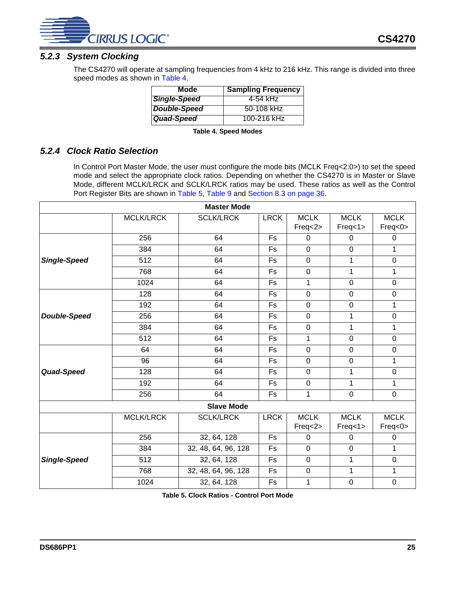

### <span id="page-24-0"></span>*5.2.3 System Clocking*

The CS4270 will operate at sampling frequencies from 4 kHz to 216 kHz. This range is divided into three speed modes as shown in [Table 4](#page-24-2).

| Mode         | <b>Sampling Frequency</b> |
|--------------|---------------------------|
| Single-Speed | 4-54 kHz                  |
| Double-Speed | 50-108 kHz                |
| Quad-Speed   | 100-216 kHz               |

| <b>Table 4. Speed Modes</b> |  |  |
|-----------------------------|--|--|
|-----------------------------|--|--|

### <span id="page-24-2"></span><span id="page-24-1"></span>*5.2.4 Clock Ratio Selection*

In Control Port Master Mode, the user must configure the mode bits (MCLK Freq<2:0>) to set the speed mode and select the appropriate clock ratios. Depending on whether the CS4270 is in Master or Slave Mode, different MCLK/LRCK and SCLK/LRCK ratios may be used. These ratios as well as the Control Port Register Bits are shown in [Table 5](#page-24-3), [Table 9](#page-35-7) and [Section 8.3 on page 36](#page-35-0).

| <b>Master Mode</b>  |                  |                     |             |                        |                        |                        |  |  |  |
|---------------------|------------------|---------------------|-------------|------------------------|------------------------|------------------------|--|--|--|
|                     | <b>MCLK/LRCK</b> | <b>SCLK/LRCK</b>    | <b>LRCK</b> | <b>MCLK</b>            | <b>MCLK</b>            | <b>MCLK</b>            |  |  |  |
|                     |                  |                     |             | Freq<2>                | Freq<1>                | Freq<0>                |  |  |  |
|                     | 256              | 64                  | Fs          | $\Omega$               | $\Omega$               | 0                      |  |  |  |
|                     | 384              | 64                  | Fs          | $\overline{0}$         | $\mathbf 0$            | 1                      |  |  |  |
| <b>Single-Speed</b> | 512              | 64                  | Fs          | $\mathbf 0$            | 1                      | $\pmb{0}$              |  |  |  |
|                     | 768              | 64                  | Fs          | $\mathbf 0$            | 1                      | 1                      |  |  |  |
|                     | 1024             | 64                  | Fs          | 1                      | $\mathbf 0$            | $\mathbf 0$            |  |  |  |
|                     | 128              | 64                  | Fs          | $\mathbf 0$            | $\mathbf 0$            | $\pmb{0}$              |  |  |  |
|                     | 192              | 64                  | Fs          | $\mathbf 0$            | $\mathbf 0$            | 1                      |  |  |  |
| <b>Double-Speed</b> | 256              | 64                  | Fs          | $\overline{0}$         | 1                      | $\mathbf 0$            |  |  |  |
|                     | 384              | 64                  |             | $\mathbf 0$            | 1                      | $\mathbf 1$            |  |  |  |
|                     | 512              | 64                  | Fs          | 1                      | $\mathbf 0$            | $\mathbf 0$            |  |  |  |
|                     | 64               | 64                  | Fs          | $\overline{0}$         | $\mathbf 0$            | $\mathbf 0$            |  |  |  |
| Quad-Speed          | 96               | 64                  | Fs          | $\mathbf 0$            | $\mathbf 0$            | 1                      |  |  |  |
|                     | 128              | 64                  | Fs          | $\mathbf 0$            | 1                      | $\mathbf 0$            |  |  |  |
|                     | 192              | 64                  | Fs          | $\mathbf 0$            | 1                      | 1                      |  |  |  |
|                     | 256              | 64                  | <b>Fs</b>   | 1                      | $\mathbf 0$            | $\pmb{0}$              |  |  |  |
|                     |                  | <b>Slave Mode</b>   |             |                        |                        |                        |  |  |  |
|                     | <b>MCLK/LRCK</b> | <b>SCLK/LRCK</b>    | <b>LRCK</b> | <b>MCLK</b><br>Freq<2> | <b>MCLK</b><br>Freq<1> | <b>MCLK</b><br>Freq<0> |  |  |  |
|                     | 256              | 32, 64, 128         | Fs          | $\Omega$               | 0                      | 0                      |  |  |  |
|                     | 384              | 32, 48, 64, 96, 128 | Fs          | $\mathbf 0$            | $\mathbf 0$            | $\mathbf{1}$           |  |  |  |
| <b>Single-Speed</b> | 512              | 32, 64, 128         | Fs          | $\mathbf 0$            | 1                      | $\pmb{0}$              |  |  |  |
|                     | 768              | 32, 48, 64, 96, 128 | Fs          | 0                      | 1                      | 1                      |  |  |  |
|                     | 1024             | 32, 64, 128         | Fs          | 1                      | $\pmb{0}$              | $\mathbf 0$            |  |  |  |

<span id="page-24-3"></span>**Table 5. Clock Ratios - Control Port Mode**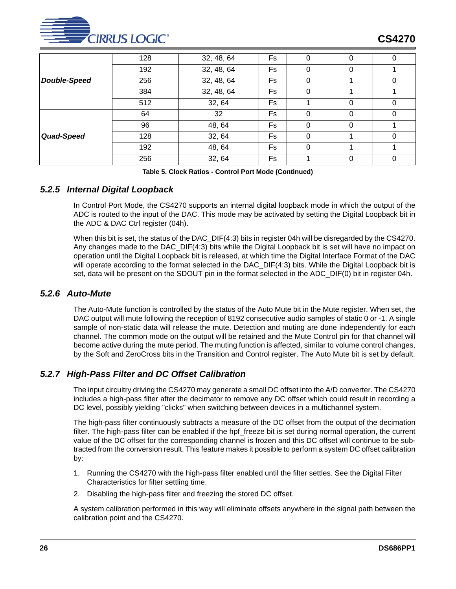

|                     | 128 | 32, 48, 64 | Fs        | O | 0 | O |
|---------------------|-----|------------|-----------|---|---|---|
|                     | 192 | 32, 48, 64 | Fs        |   | υ |   |
| <b>Double-Speed</b> | 256 | 32, 48, 64 | Fs        |   |   |   |
|                     | 384 | 32, 48, 64 | Fs        | 0 |   |   |
|                     | 512 | 32, 64     | Fs        |   | 0 | 0 |
|                     | 64  | 32         | Fs        | 0 | 0 | 0 |
|                     | 96  | 48, 64     | <b>Fs</b> | 0 | 0 |   |
| Quad-Speed          | 128 | 32, 64     | Fs        | 0 |   | 0 |
|                     | 192 | 48, 64     | Fs        | 0 |   |   |
|                     | 256 | 32, 64     | Fs        |   | 0 | 0 |

**Table 5. Clock Ratios - Control Port Mode (Continued)**

### <span id="page-25-0"></span>*5.2.5 Internal Digital Loopback*

In Control Port Mode, the CS4270 supports an internal digital loopback mode in which the output of the ADC is routed to the input of the DAC. This mode may be activated by setting the Digital Loopback bit in the ADC & DAC Ctrl register (04h).

When this bit is set, the status of the DAC\_DIF(4:3) bits in register 04h will be disregarded by the CS4270. Any changes made to the DAC\_DIF(4:3) bits while the Digital Loopback bit is set will have no impact on operation until the Digital Loopback bit is released, at which time the Digital Interface Format of the DAC will operate according to the format selected in the DAC\_DIF(4:3) bits. While the Digital Loopback bit is set, data will be present on the SDOUT pin in the format selected in the ADC\_DIF(0) bit in register 04h.

### <span id="page-25-1"></span>*5.2.6 Auto-Mute*

The Auto-Mute function is controlled by the status of the Auto Mute bit in the Mute register. When set, the DAC output will mute following the reception of 8192 consecutive audio samples of static 0 or -1. A single sample of non-static data will release the mute. Detection and muting are done independently for each channel. The common mode on the output will be retained and the Mute Control pin for that channel will become active during the mute period. The muting function is affected, similar to volume control changes, by the Soft and ZeroCross bits in the Transition and Control register. The Auto Mute bit is set by default.

### <span id="page-25-2"></span>*5.2.7 High-Pass Filter and DC Offset Calibration*

The input circuitry driving the CS4270 may generate a small DC offset into the A/D converter. The CS4270 includes a high-pass filter after the decimator to remove any DC offset which could result in recording a DC level, possibly yielding "clicks" when switching between devices in a multichannel system.

The high-pass filter continuously subtracts a measure of the DC offset from the output of the decimation filter. The high-pass filter can be enabled if the hpf freeze bit is set during normal operation, the current value of the DC offset for the corresponding channel is frozen and this DC offset will continue to be subtracted from the conversion result. This feature makes it possible to perform a system DC offset calibration by:

- 1. Running the CS4270 with the high-pass filter enabled until the filter settles. See the Digital Filter Characteristics for filter settling time.
- 2. Disabling the high-pass filter and freezing the stored DC offset.

A system calibration performed in this way will eliminate offsets anywhere in the signal path between the calibration point and the CS4270.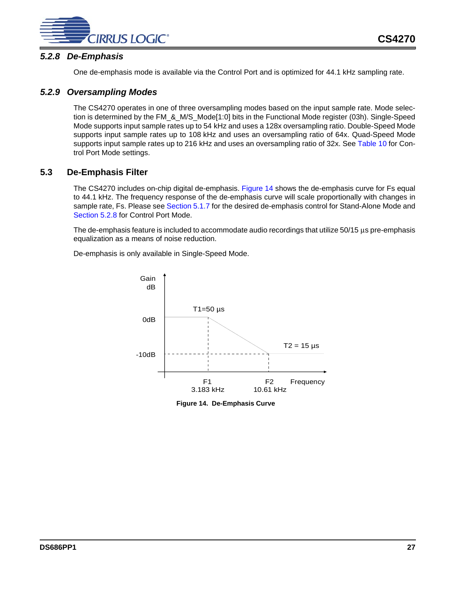

### <span id="page-26-0"></span>*5.2.8 De-Emphasis*

One de-emphasis mode is available via the Control Port and is optimized for 44.1 kHz sampling rate.

### <span id="page-26-1"></span>*5.2.9 Oversampling Modes*

The CS4270 operates in one of three oversampling modes based on the input sample rate. Mode selection is determined by the FM\_&\_M/S\_Mode[1:0] bits in the Functional Mode register (03h). Single-Speed Mode supports input sample rates up to 54 kHz and uses a 128x oversampling ratio. Double-Speed Mode supports input sample rates up to 108 kHz and uses an oversampling ratio of 64x. Quad-Speed Mode supports input sample rates up to 216 kHz and uses an oversampling ratio of 32x. See [Table 10](#page-36-4) for Control Port Mode settings.

### <span id="page-26-2"></span>**5.3 De-Emphasis Filter**

The CS4270 includes on-chip digital de-emphasis. [Figure 14](#page-26-3) shows the de-emphasis curve for Fs equal to 44.1 kHz. The frequency response of the de-emphasis curve will scale proportionally with changes in sample rate, Fs. Please see [Section 5.1.7](#page-23-0) for the desired de-emphasis control for Stand-Alone Mode and [Section 5.2.8](#page-26-0) for Control Port Mode.

The de-emphasis feature is included to accommodate audio recordings that utilize 50/15 µs pre-emphasis equalization as a means of noise reduction.

De-emphasis is only available in Single-Speed Mode.



<span id="page-26-3"></span>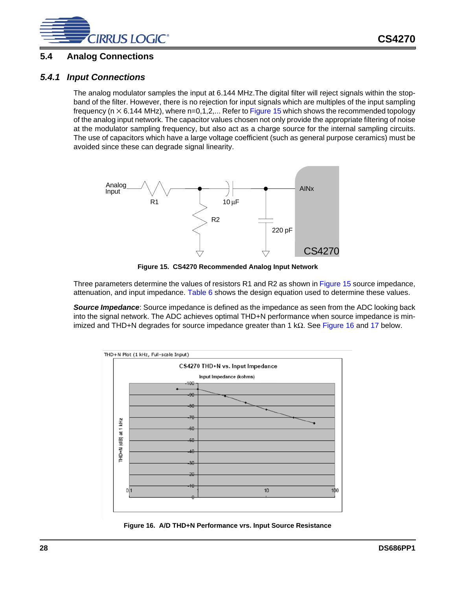

### <span id="page-27-0"></span>**5.4 Analog Connections**

### <span id="page-27-1"></span>*5.4.1 Input Connections*

The analog modulator samples the input at 6.144 MHz.The digital filter will reject signals within the stopband of the filter. However, there is no rejection for input signals which are multiples of the input sampling frequency ( $n \times 6.144$  MHz), where  $n=0,1,2,...$  Refer to [Figure 15](#page-27-2) which shows the recommended topology of the analog input network. The capacitor values chosen not only provide the appropriate filtering of noise at the modulator sampling frequency, but also act as a charge source for the internal sampling circuits. The use of capacitors which have a large voltage coefficient (such as general purpose ceramics) must be avoided since these can degrade signal linearity.



**Figure 15. CS4270 Recommended Analog Input Network**

<span id="page-27-2"></span>Three parameters determine the values of resistors R1 and R2 as shown in [Figure 15](#page-27-2) source impedance, attenuation, and input impedance. [Table 6](#page-28-1) shows the design equation used to determine these values.

*Source Impedance*: Source impedance is defined as the impedance as seen from the ADC looking back into the signal network. The ADC achieves optimal THD+N performance when source impedance is min-imized and THD+N degrades for source impedance greater than 1 kΩ. See [Figure 16](#page-27-3) and [17](#page-28-0) below.



<span id="page-27-3"></span>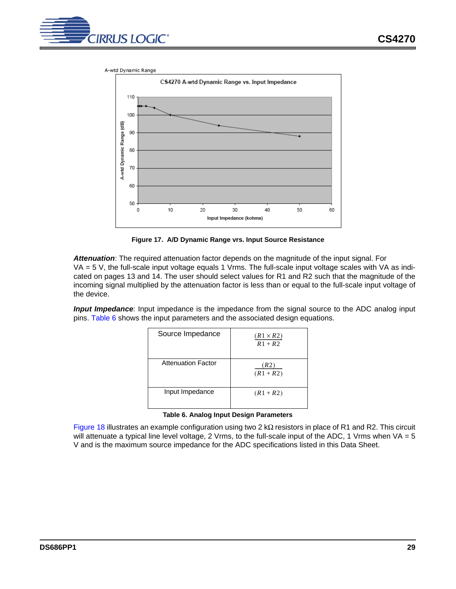



**Figure 17. A/D Dynamic Range vrs. Input Source Resistance**

<span id="page-28-0"></span>*Attenuation*: The required attenuation factor depends on the magnitude of the input signal. For  $VA = 5$  V, the full-scale input voltage equals 1 Vrms. The full-scale input voltage scales with VA as indicated on pages [13](#page-12-0) and [14](#page-13-0). The user should select values for R1 and R2 such that the magnitude of the incoming signal multiplied by the attenuation factor is less than or equal to the full-scale input voltage of the device.

*Input Impedance*: Input impedance is the impedance from the signal source to the ADC analog input pins. [Table 6](#page-28-1) shows the input parameters and the associated design equations.

| Source Impedance   | $(R1 \times R2)$<br>$R1 + R2$ |
|--------------------|-------------------------------|
| Attenuation Factor | (R2)<br>$(R1 + R2)$           |
| Input Impedance    | $(R1 + R2)$                   |

<span id="page-28-1"></span>[Figure 18](#page-29-2) illustrates an example configuration using two 2 kΩ resistors in place of R1 and R2. This circuit will attenuate a typical line level voltage, 2 Vrms, to the full-scale input of the ADC, 1 Vrms when VA = 5 V and is the maximum source impedance for the ADC specifications listed in this Data Sheet.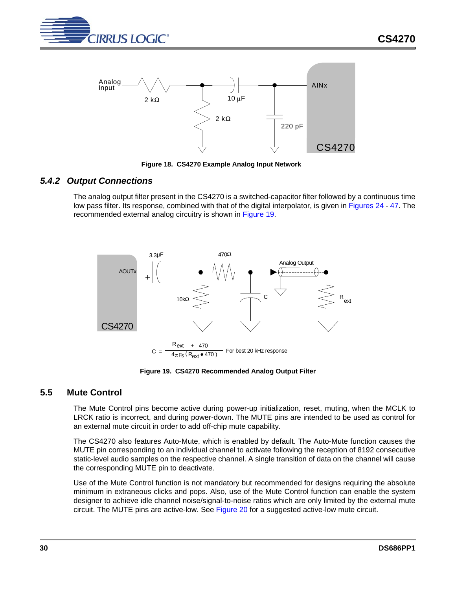



**Figure 18. CS4270 Example Analog Input Network**

### <span id="page-29-2"></span><span id="page-29-0"></span>*5.4.2 Output Connections*

The analog output filter present in the CS4270 is a switched-capacitor filter followed by a continuous time low pass filter. Its response, combined with that of the digital interpolator, is given in [Figures 24](#page-40-1) - [47](#page-43-5). The recommended external analog circuitry is shown in [Figure 19](#page-29-3).



**Figure 19. CS4270 Recommended Analog Output Filter**

### <span id="page-29-3"></span><span id="page-29-1"></span>**5.5 Mute Control**

The Mute Control pins become active during power-up initialization, reset, muting, when the MCLK to LRCK ratio is incorrect, and during power-down. The MUTE pins are intended to be used as control for an external mute circuit in order to add off-chip mute capability.

The CS4270 also features Auto-Mute, which is enabled by default. The Auto-Mute function causes the MUTE pin corresponding to an individual channel to activate following the reception of 8192 consecutive static-level audio samples on the respective channel. A single transition of data on the channel will cause the corresponding MUTE pin to deactivate.

Use of the Mute Control function is not mandatory but recommended for designs requiring the absolute minimum in extraneous clicks and pops. Also, use of the Mute Control function can enable the system designer to achieve idle channel noise/signal-to-noise ratios which are only limited by the external mute circuit. The MUTE pins are active-low. See [Figure 20](#page-30-2) for a suggested active-low mute circuit.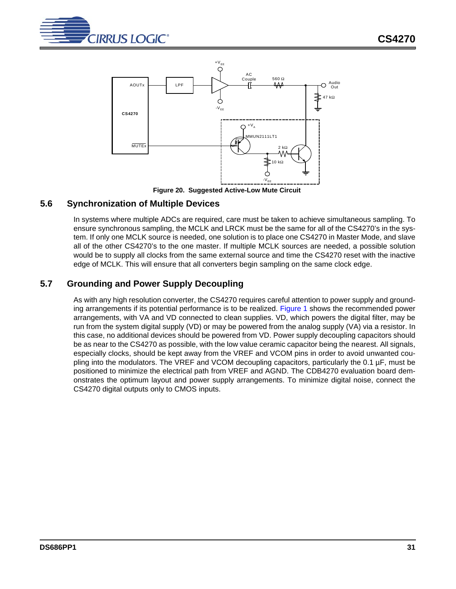



**Figure 20. Suggested Active-Low Mute Circuit**

### <span id="page-30-2"></span><span id="page-30-0"></span>**5.6 Synchronization of Multiple Devices**

In systems where multiple ADCs are required, care must be taken to achieve simultaneous sampling. To ensure synchronous sampling, the MCLK and LRCK must be the same for all of the CS4270's in the system. If only one MCLK source is needed, one solution is to place one CS4270 in Master Mode, and slave all of the other CS4270's to the one master. If multiple MCLK sources are needed, a possible solution would be to supply all clocks from the same external source and time the CS4270 reset with the inactive edge of MCLK. This will ensure that all converters begin sampling on the same clock edge.

### <span id="page-30-1"></span>**5.7 Grounding and Power Supply Decoupling**

As with any high resolution converter, the CS4270 requires careful attention to power supply and ground-ing arrangements if its potential performance is to be realized. [Figure 1](#page-7-1) shows the recommended power arrangements, with VA and VD connected to clean supplies. VD, which powers the digital filter, may be run from the system digital supply (VD) or may be powered from the analog supply (VA) via a resistor. In this case, no additional devices should be powered from VD. Power supply decoupling capacitors should be as near to the CS4270 as possible, with the low value ceramic capacitor being the nearest. All signals, especially clocks, should be kept away from the VREF and VCOM pins in order to avoid unwanted coupling into the modulators. The VREF and VCOM decoupling capacitors, particularly the 0.1 µF, must be positioned to minimize the electrical path from VREF and AGND. The CDB4270 evaluation board demonstrates the optimum layout and power supply arrangements. To minimize digital noise, connect the CS4270 digital outputs only to CMOS inputs.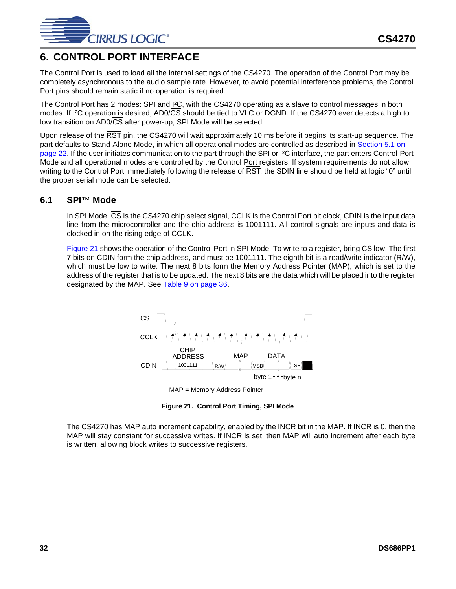

# <span id="page-31-0"></span>**6. CONTROL PORT INTERFACE**

The Control Port is used to load all the internal settings of the CS4270. The operation of the Control Port may be completely asynchronous to the audio sample rate. However, to avoid potential interference problems, the Control Port pins should remain static if no operation is required.

The Control Port has 2 modes: SPI and I²C, with the CS4270 operating as a slave to control messages in both modes. If I²C operation is desired, AD0/CS should be tied to VLC or DGND. If the CS4270 ever detects a high to low transition on AD0/CS after power-up, SPI Mode will be selected.

Upon release of the RST pin, the CS4270 will wait approximately 10 ms before it begins its start-up sequence. The part defaults to Stand-Alone Mode, in which all operational modes are controlled as described in [Section 5.1 on](#page-21-1)  [page 22.](#page-21-1) If the user initiates communication to the part through the SPI or I²C interface, the part enters Control-Port Mode and all operational modes are controlled by the Control Port registers. If system requirements do not allow writing to the Control Port immediately following the release of RST, the SDIN line should be held at logic "0" until the proper serial mode can be selected.

### <span id="page-31-1"></span>**6.1 SPI**™ **Mode**

In SPI Mode,  $\overline{\text{CS}}$  is the CS4270 chip select signal, CCLK is the Control Port bit clock, CDIN is the input data line from the microcontroller and the chip address is 1001111. All control signals are inputs and data is clocked in on the rising edge of CCLK.

[Figure 21](#page-31-2) shows the operation of the Control Port in SPI Mode. To write to a register, bring CS low. The first 7 bits on CDIN form the chip address, and must be 1001111. The eighth bit is a read/write indicator (R/W), which must be low to write. The next 8 bits form the Memory Address Pointer (MAP), which is set to the address of the register that is to be updated. The next 8 bits are the data which will be placed into the register designated by the MAP. See [Table 9 on page 36](#page-35-7).





**Figure 21. Control Port Timing, SPI Mode**

<span id="page-31-2"></span>The CS4270 has MAP auto increment capability, enabled by the INCR bit in the MAP. If INCR is 0, then the MAP will stay constant for successive writes. If INCR is set, then MAP will auto increment after each byte is written, allowing block writes to successive registers.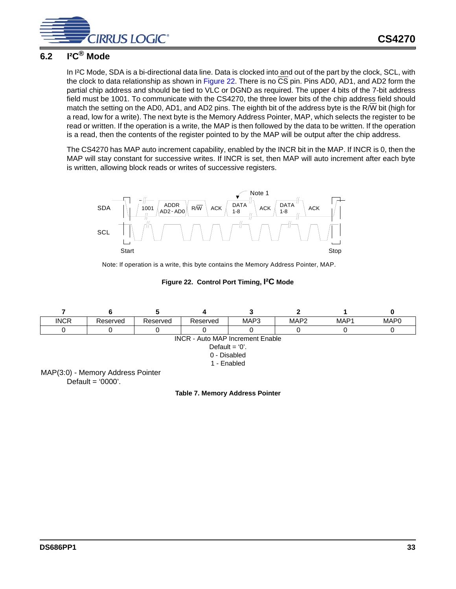

# <span id="page-32-0"></span>**6.2 I²C® Mode**

In I²C Mode, SDA is a bi-directional data line. Data is clocked into and out of the part by the clock, SCL, with the clock to data relationship as shown in [Figure 22.](#page-32-2) There is no CS pin. Pins AD0, AD1, and AD2 form the partial chip address and should be tied to VLC or DGND as required. The upper 4 bits of the 7-bit address field must be 1001. To communicate with the CS4270, the three lower bits of the chip address field should match the setting on the AD0, AD1, and AD2 pins. The eighth bit of the address byte is the R/W bit (high for a read, low for a write). The next byte is the Memory Address Pointer, MAP, which selects the register to be read or written. If the operation is a write, the MAP is then followed by the data to be written. If the operation is a read, then the contents of the register pointed to by the MAP will be output after the chip address.

The CS4270 has MAP auto increment capability, enabled by the INCR bit in the MAP. If INCR is 0, then the MAP will stay constant for successive writes. If INCR is set, then MAP will auto increment after each byte is written, allowing block reads or writes of successive registers.



Note: If operation is a write, this byte contains the Memory Address Pointer, MAP.

**Figure 22. Control Port Timing, I²C Mode**

<span id="page-32-2"></span><span id="page-32-1"></span>

**Table 7. Memory Address Pointer**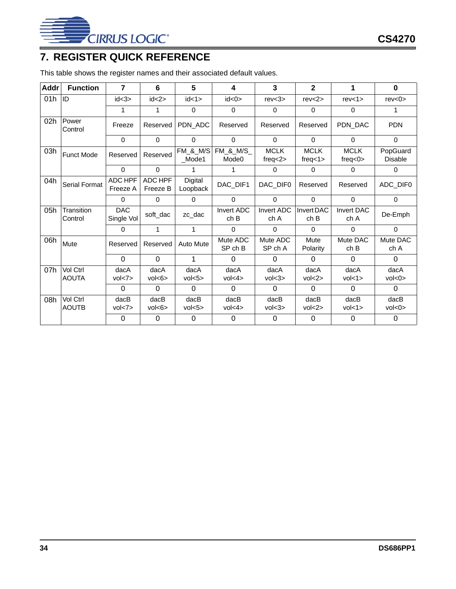

# <span id="page-33-0"></span>**7. REGISTER QUICK REFERENCE**

This table shows the register names and their associated default values.

| Addr | <b>Function</b>          | $\overline{7}$           | 6                    | 5                            | 4                         | 3                             | $\overline{2}$           | 1                             | $\bf{0}$                   |
|------|--------------------------|--------------------------|----------------------|------------------------------|---------------------------|-------------------------------|--------------------------|-------------------------------|----------------------------|
| 01h  | ID                       | id < 3                   | id < 2>              | id < 1>                      | id < 0>                   | rev < 3                       | rev < 2                  | rev<1>                        | rev < 0                    |
|      |                          | 1                        | 1                    | $\Omega$                     | $\Omega$                  | $\Omega$                      | $\Omega$                 | 0                             |                            |
| 02h  | Power<br>Control         | Freeze                   | Reserved             | PDN ADC                      | Reserved                  | Reserved                      | Reserved                 | PDN_DAC                       | <b>PDN</b>                 |
|      |                          | $\Omega$                 | $\Omega$             | $\Omega$                     | $\Omega$                  | $\Omega$                      | 0                        | $\Omega$                      | $\Omega$                   |
| 03h  | <b>Funct Mode</b>        | Reserved                 | Reserved             | <b>FM &amp; M/S</b><br>Mode1 | FM_&_M/S_<br>Mode0        | <b>MCLK</b><br>freq $<$ 2 $>$ | <b>MCLK</b><br>freq < 1> | <b>MCLK</b><br>freq $<$ 0 $>$ | PopGuard<br><b>Disable</b> |
|      |                          | $\Omega$                 | $\Omega$             | 1                            | 1                         | $\Omega$                      | $\Omega$                 | $\mathbf{0}$                  | $\Omega$                   |
| 04h  | Serial Format            | ADC HPF<br>Freeze A      | ADC HPF<br>Freeze B  | Digital<br>Loopback          | DAC_DIF1                  | DAC_DIF0                      | Reserved                 | Reserved                      | ADC_DIF0                   |
|      |                          | $\Omega$                 | $\Omega$             | $\Omega$                     | $\Omega$                  | $\Omega$                      | $\Omega$                 | $\Omega$                      | $\Omega$                   |
| 05h  | Transition<br>Control    | <b>DAC</b><br>Single Vol | soft dac             | zc dac                       | <b>Invert ADC</b><br>ch B | <b>Invert ADC</b><br>ch A     | Invert DAC<br>ch B       | <b>Invert DAC</b><br>ch A     | De-Emph                    |
|      |                          | 0                        | 1                    | 1                            | $\Omega$                  | $\Omega$                      | $\Omega$                 | 0                             | $\Omega$                   |
| 06h  | Mute                     | Reserved                 | Reserved             | Auto Mute                    | Mute ADC<br>SP ch B       | Mute ADC<br>SP ch A           | Mute<br>Polarity         | Mute DAC<br>ch B              | Mute DAC<br>ch A           |
|      |                          | $\Omega$                 | $\Omega$             | 1                            | 0                         | $\Omega$                      | $\Omega$                 | $\Omega$                      | 0                          |
| 07h  | Vol Ctrl<br><b>AOUTA</b> | dacA<br>vol < 7          | dacA<br>vol<6>       | dacA<br>vol < 5              | dacA<br>vol<4>            | dacA<br>vol < 3>              | dacA<br>vol < 2>         | dacA<br>vol<1>                | dacA<br>vol<0>             |
|      |                          | 0                        | $\Omega$             | $\Omega$                     | $\Omega$                  | $\Omega$                      | $\Omega$                 | $\Omega$                      | $\Omega$                   |
| 08h  | Vol Ctrl<br><b>AOUTB</b> | $d$ ac $B$<br>vol < 7    | $d$ ac $B$<br>vol<6> | $d$ ac $B$<br>vol < 5        | $d$ ac $B$<br>vol<4>      | $d$ ac $B$<br>vol < 3>        | $d$ ac $B$<br>vol < 2>   | $d$ ac $B$<br>vol<1>          | $d$ ac $B$<br>vol<0>       |
|      |                          | $\Omega$                 | $\Omega$             | $\Omega$                     | $\Omega$                  | $\Omega$                      | $\Omega$                 | $\Omega$                      | $\Omega$                   |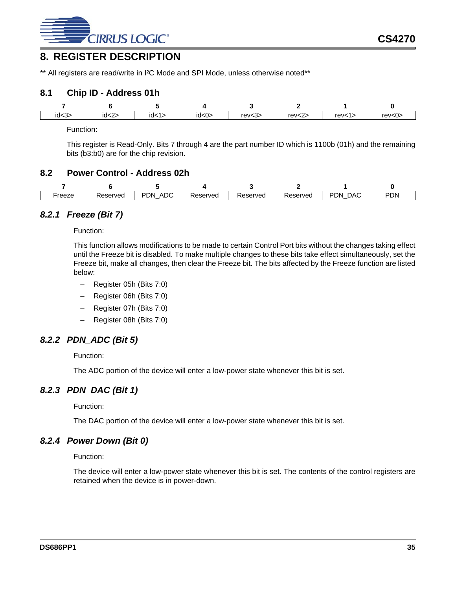

### <span id="page-34-0"></span>**8. REGISTER DESCRIPTION**

\*\* All registers are read/write in I<sup>2</sup>C Mode and SPI Mode, unless otherwise noted\*\*

### <span id="page-34-1"></span>**8.1 Chip ID - Address 01h**

| - 22<br>1d < 3 | iusza | ıd< | -^<br>∽י<br>iu <u< td=""><td>rev &lt; 3</td><td><math>r = \sqrt{2}</math></td><td><math>r = \sqrt{1}</math></td><td>rev&lt;0</td></u<> | rev < 3 | $r = \sqrt{2}$ | $r = \sqrt{1}$ | rev<0 |
|----------------|-------|-----|----------------------------------------------------------------------------------------------------------------------------------------|---------|----------------|----------------|-------|

Function:

This register is Read-Only. Bits 7 through 4 are the part number ID which is 1100b (01h) and the remaining bits (b3:b0) are for the chip revision.

### <span id="page-34-2"></span>**8.2 Power Control - Address 02h**

| reeze | 'eserved<br>15551 | ADC<br>PDN | Reserved | Reserved | Reserved | <b>DAC</b><br><b>PDN</b><br>– | <b>PDN</b> |
|-------|-------------------|------------|----------|----------|----------|-------------------------------|------------|

### <span id="page-34-3"></span>*8.2.1 Freeze (Bit 7)*

Function:

This function allows modifications to be made to certain Control Port bits without the changes taking effect until the Freeze bit is disabled. To make multiple changes to these bits take effect simultaneously, set the Freeze bit, make all changes, then clear the Freeze bit. The bits affected by the Freeze function are listed below:

- Register 05h (Bits 7:0)
- Register 06h (Bits 7:0)
- Register 07h (Bits 7:0)
- Register 08h (Bits 7:0)

### <span id="page-34-4"></span>*8.2.2 PDN\_ADC (Bit 5)*

Function:

The ADC portion of the device will enter a low-power state whenever this bit is set.

### <span id="page-34-5"></span>*8.2.3 PDN\_DAC (Bit 1)*

Function:

The DAC portion of the device will enter a low-power state whenever this bit is set.

### <span id="page-34-6"></span>*8.2.4 Power Down (Bit 0)*

Function:

The device will enter a low-power state whenever this bit is set. The contents of the control registers are retained when the device is in power-down.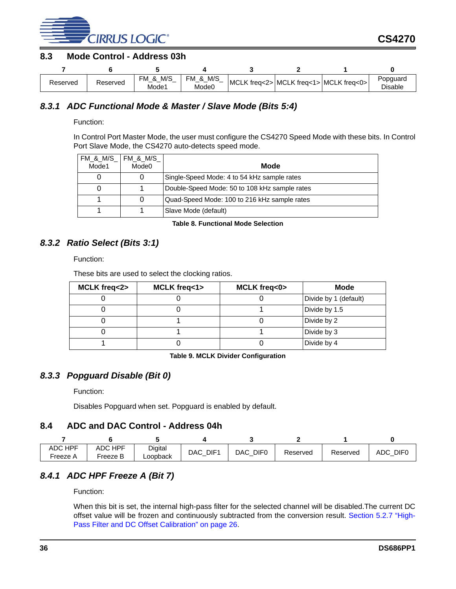

### <span id="page-35-0"></span>**8.3 Mode Control - Address 03h**

| Reserved | Reserved | M/S<br>чΜ<br>Οx<br>Mode1 | M/S<br>FM<br>&<br>Mode0 | MCLK freq<2> MCLK freq<1> MCLK freq<0> |  | Popquard<br><b>Disable</b> |
|----------|----------|--------------------------|-------------------------|----------------------------------------|--|----------------------------|

### <span id="page-35-1"></span>*8.3.1 ADC Functional Mode & Master / Slave Mode (Bits 5:4)*

Function:

In Control Port Master Mode, the user must configure the CS4270 Speed Mode with these bits. In Control Port Slave Mode, the CS4270 auto-detects speed mode.

| FM & M/S FM & M/S<br>Mode1 | Mode0 | Mode                                          |
|----------------------------|-------|-----------------------------------------------|
|                            |       | Single-Speed Mode: 4 to 54 kHz sample rates   |
|                            |       | Double-Speed Mode: 50 to 108 kHz sample rates |
|                            |       | Quad-Speed Mode: 100 to 216 kHz sample rates  |
|                            |       | Slave Mode (default)                          |

**Table 8. Functional Mode Selection**

### <span id="page-35-6"></span><span id="page-35-2"></span>*8.3.2 Ratio Select (Bits 3:1)*

Function:

These bits are used to select the clocking ratios.

| MCLK freq<2> | MCLK freq<1> | MCLK freq<0> | Mode                  |
|--------------|--------------|--------------|-----------------------|
|              |              |              | Divide by 1 (default) |
|              |              |              | Divide by 1.5         |
|              |              |              | Divide by 2           |
|              |              |              | Divide by 3           |
|              |              |              | Divide by 4           |

**Table 9. MCLK Divider Configuration**

### <span id="page-35-7"></span><span id="page-35-3"></span>*8.3.3 Popguard Disable (Bit 0)*

Function:

Disables Popguard when set. Popguard is enabled by default.

### <span id="page-35-4"></span>**8.4 ADC and DAC Control - Address 04h**

| ADC HPF<br>Freeze A | <b>HPF</b><br>ADC<br>Freeze B | Digital<br>Loopback | DAC DIF1 | DIF <sub>0</sub><br><b>DAC</b> | Reserved | Reserved | <b>DIFC</b><br>ADC |
|---------------------|-------------------------------|---------------------|----------|--------------------------------|----------|----------|--------------------|

### <span id="page-35-5"></span>*8.4.1 ADC HPF Freeze A (Bit 7)*

Function:

When this bit is set, the internal high-pass filter for the selected channel will be disabled.The current DC offset value will be frozen and continuously subtracted from the conversion result. [Section 5.2.7 "High-](#page-25-2)[Pass Filter and DC Offset Calibration" on page 26.](#page-25-2)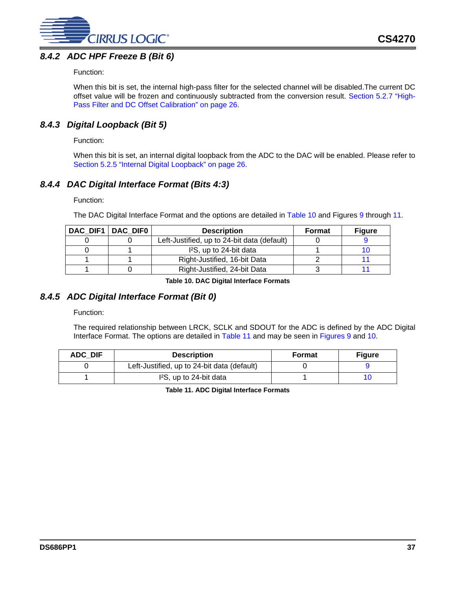

### <span id="page-36-0"></span>*8.4.2 ADC HPF Freeze B (Bit 6)*

### Function:

When this bit is set, the internal high-pass filter for the selected channel will be disabled.The current DC offset value will be frozen and continuously subtracted from the conversion result. [Section 5.2.7 "High-](#page-25-2)[Pass Filter and DC Offset Calibration" on page 26.](#page-25-2)

### <span id="page-36-1"></span>*8.4.3 Digital Loopback (Bit 5)*

### Function:

When this bit is set, an internal digital loopback from the ADC to the DAC will be enabled. Please refer to [Section 5.2.5 "Internal Digital Loopback" on page 26](#page-25-0).

### <span id="page-36-2"></span>*8.4.4 DAC Digital Interface Format (Bits 4:3)*

Function:

The DAC Digital Interface Format and the options are detailed in [Table 10](#page-36-4) and Figures [9](#page-18-0) through [11](#page-18-2).

| DAC DIF1   DAC DIF0 | <b>Description</b>                          | Format | <b>Figure</b> |
|---------------------|---------------------------------------------|--------|---------------|
|                     | Left-Justified, up to 24-bit data (default) |        |               |
|                     | 1 <sup>2</sup> S, up to 24-bit data         |        |               |
|                     | Right-Justified, 16-bit Data                |        |               |
|                     | Right-Justified, 24-bit Data                |        |               |

**Table 10. DAC Digital Interface Formats**

### <span id="page-36-4"></span><span id="page-36-3"></span>*8.4.5 ADC Digital Interface Format (Bit 0)*

Function:

The required relationship between LRCK, SCLK and SDOUT for the ADC is defined by the ADC Digital Interface Format. The options are detailed in [Table 11](#page-36-5) and may be seen in [Figures 9](#page-18-0) and [10.](#page-18-1)

<span id="page-36-5"></span>

| ADC DIF | <b>Description</b>                          | Format | <b>Figure</b> |
|---------|---------------------------------------------|--------|---------------|
|         | Left-Justified, up to 24-bit data (default) |        |               |
|         | I <sup>2</sup> S, up to 24-bit data         |        |               |

**Table 11. ADC Digital Interface Formats**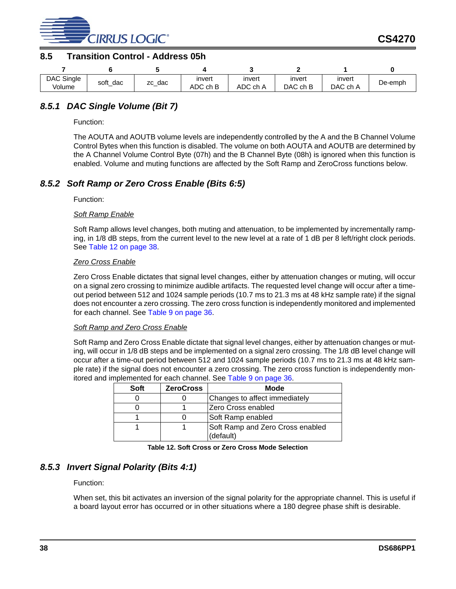

### <span id="page-37-0"></span>**8.5 Transition Control - Address 05h**

| DAC Single | soft_ | dac | invert   | invert   | invert   | invert   | De-emph |
|------------|-------|-----|----------|----------|----------|----------|---------|
| Volume     | dac   | ZC  | ADC ch B | ADC ch A | DAC ch B | DAC ch A |         |

### <span id="page-37-1"></span>*8.5.1 DAC Single Volume (Bit 7)*

Function:

The AOUTA and AOUTB volume levels are independently controlled by the A and the B Channel Volume Control Bytes when this function is disabled. The volume on both AOUTA and AOUTB are determined by the A Channel Volume Control Byte (07h) and the B Channel Byte (08h) is ignored when this function is enabled. Volume and muting functions are affected by the Soft Ramp and ZeroCross functions below.

### <span id="page-37-2"></span>*8.5.2 Soft Ramp or Zero Cross Enable (Bits 6:5)*

Function:

### *Soft Ramp Enable*

Soft Ramp allows level changes, both muting and attenuation, to be implemented by incrementally ramping, in 1/8 dB steps, from the current level to the new level at a rate of 1 dB per 8 left/right clock periods. See [Table 12 on page 38](#page-37-4).

### *Zero Cross Enable*

Zero Cross Enable dictates that signal level changes, either by attenuation changes or muting, will occur on a signal zero crossing to minimize audible artifacts. The requested level change will occur after a timeout period between 512 and 1024 sample periods (10.7 ms to 21.3 ms at 48 kHz sample rate) if the signal does not encounter a zero crossing. The zero cross function is independently monitored and implemented for each channel. See [Table 9 on page 36.](#page-35-7)

### *Soft Ramp and Zero Cross Enable*

Soft Ramp and Zero Cross Enable dictate that signal level changes, either by attenuation changes or muting, will occur in 1/8 dB steps and be implemented on a signal zero crossing. The 1/8 dB level change will occur after a time-out period between 512 and 1024 sample periods (10.7 ms to 21.3 ms at 48 kHz sample rate) if the signal does not encounter a zero crossing. The zero cross function is independently monitored and implemented for each channel. See [Table 9 on page 36](#page-35-7).

| Soft | <b>ZeroCross</b> | Mode                             |
|------|------------------|----------------------------------|
|      |                  | Changes to affect immediately    |
|      |                  | IZero Cross enabled              |
|      |                  | Soft Ramp enabled                |
|      |                  | Soft Ramp and Zero Cross enabled |
|      |                  | (default)                        |

**Table 12. Soft Cross or Zero Cross Mode Selection**

### <span id="page-37-4"></span><span id="page-37-3"></span>*8.5.3 Invert Signal Polarity (Bits 4:1)*

Function:

When set, this bit activates an inversion of the signal polarity for the appropriate channel. This is useful if a board layout error has occurred or in other situations where a 180 degree phase shift is desirable.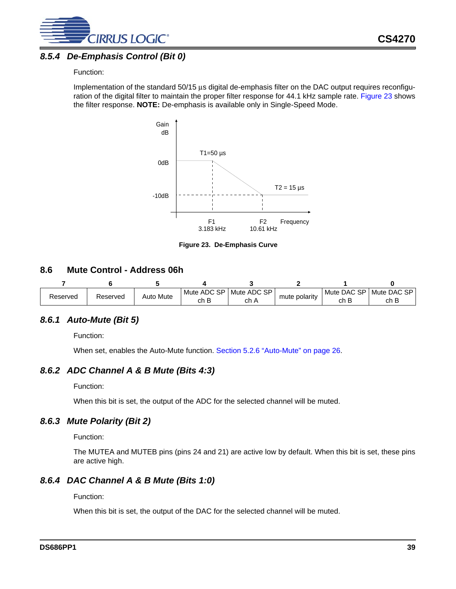

### <span id="page-38-0"></span>*8.5.4 De-Emphasis Control (Bit 0)*

### Function:

Implementation of the standard 50/15 µs digital de-emphasis filter on the DAC output requires reconfiguration of the digital filter to maintain the proper filter response for 44.1 kHz sample rate. [Figure 23](#page-38-6) shows the filter response. **NOTE:** De-emphasis is available only in Single-Speed Mode.



**Figure 23. De-Emphasis Curve** 

### <span id="page-38-6"></span><span id="page-38-1"></span>**8.6 Mute Control - Address 06h**

|          |          | Auto Mute | Mute ADC SP | Mute ADC SP |               | Mute DAC SP | Mute DAC SP |
|----------|----------|-----------|-------------|-------------|---------------|-------------|-------------|
| Reserved | Reserved |           | ch B        | ch A        | mute polarity | ch B        | ch B        |

### <span id="page-38-2"></span>*8.6.1 Auto-Mute (Bit 5)*

Function:

When set, enables the Auto-Mute function. [Section 5.2.6 "Auto-Mute" on page 26](#page-25-1).

### <span id="page-38-3"></span>*8.6.2 ADC Channel A & B Mute (Bits 4:3)*

Function:

When this bit is set, the output of the ADC for the selected channel will be muted.

### <span id="page-38-4"></span>*8.6.3 Mute Polarity (Bit 2)*

Function:

The MUTEA and MUTEB pins (pins 24 and 21) are active low by default. When this bit is set, these pins are active high.

### <span id="page-38-5"></span>*8.6.4 DAC Channel A & B Mute (Bits 1:0)*

Function:

When this bit is set, the output of the DAC for the selected channel will be muted.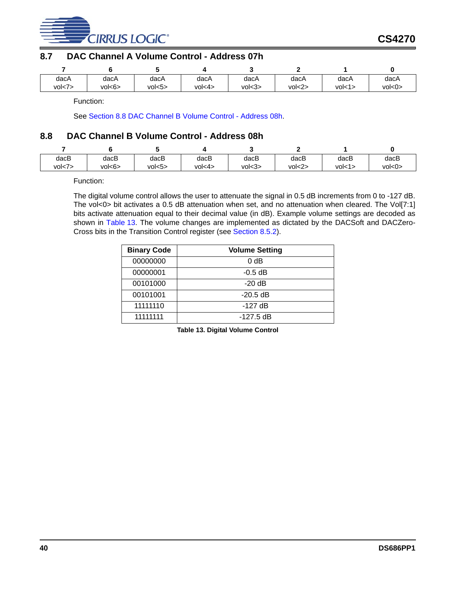

### <span id="page-39-0"></span>**8.7 DAC Channel A Volume Control - Address 07h**

| dacA    | dacA   | dacA    | dacA   | dacA   | dacA   | dacA   | dacA   |
|---------|--------|---------|--------|--------|--------|--------|--------|
| vol < 7 | vol<6> | vol < 5 | vol<4> | vol<3> | vol<2> | vol<1> | vol<0> |

Function:

See [Section 8.8 DAC Channel B Volume Control - Address 08h](#page-39-1).

### <span id="page-39-1"></span>**8.8 DAC Channel B Volume Control - Address 08h**

| dacB    | dacB   | dacB   | dacB   | dacB   | dacB    | dacB   | dacB   |
|---------|--------|--------|--------|--------|---------|--------|--------|
| vol < 7 | vol<6> | vol<5> | vol<4> | vol<3> | vol < 2 | vol<1> | vol<0> |

Function:

The digital volume control allows the user to attenuate the signal in 0.5 dB increments from 0 to -127 dB. The vol<0> bit activates a 0.5 dB attenuation when set, and no attenuation when cleared. The Vol[7:1] bits activate attenuation equal to their decimal value (in dB). Example volume settings are decoded as shown in [Table 13.](#page-39-2) The volume changes are implemented as dictated by the DACSoft and DACZero-Cross bits in the Transition Control register (see [Section 8.5.2\)](#page-37-2).

<span id="page-39-2"></span>

| <b>Binary Code</b> | <b>Volume Setting</b> |
|--------------------|-----------------------|
| 00000000           | 0 <sub>d</sub> B      |
| 00000001           | $-0.5$ dB             |
| 00101000           | $-20$ dB              |
| 00101001           | $-20.5$ dB            |
| 11111110           | $-127$ dB             |
| 11111111           | $-127.5$ dB           |

**Table 13. Digital Volume Control**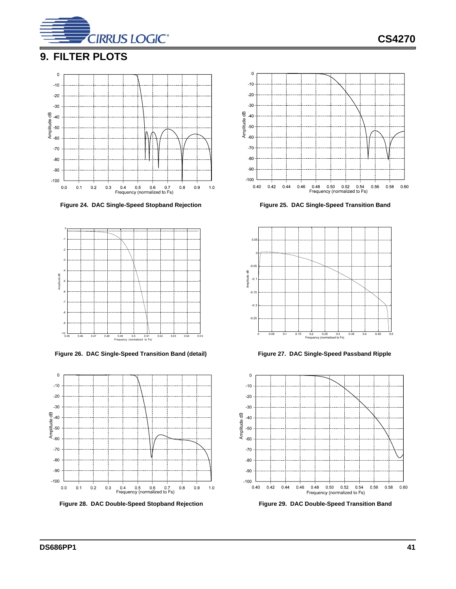

**CS4270**

# <span id="page-40-0"></span>**9. FILTER PLOTS**



<span id="page-40-1"></span>Figure 24. DAC Single-Speed Stopband Rejection Figure 25. DAC Single-Speed Transition Band



<span id="page-40-3"></span>**Figure 26. DAC Single-Speed Transition Band (detail) Figure 27. DAC Single-Speed Passband Ripple**





<span id="page-40-2"></span>

<span id="page-40-6"></span><span id="page-40-4"></span>

<span id="page-40-5"></span>Figure 28. DAC Double-Speed Stopband Rejection Figure 29. DAC Double-Speed Transition Band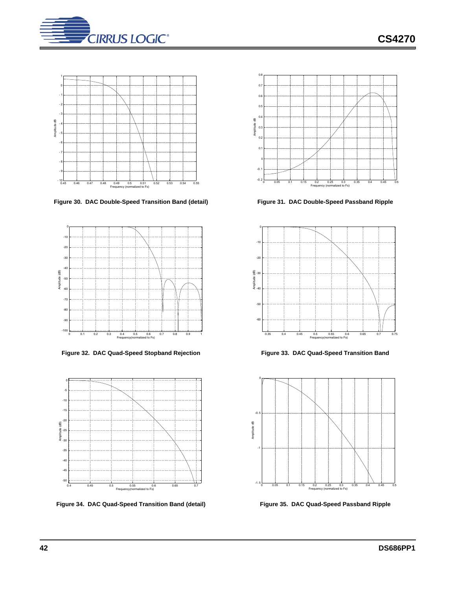



<span id="page-41-0"></span>**Figure 30. DAC Double-Speed Transition Band (detail) Figure 31. DAC Double-Speed Passband Ripple**



<span id="page-41-2"></span>Figure 32. DAC Quad-Speed Stopband Rejection Figure 33. DAC Quad-Speed Transition Band



<span id="page-41-4"></span>**Figure 34. DAC Quad-Speed Transition Band (detail) Figure 35. DAC Quad-Speed Passband Ripple**



<span id="page-41-1"></span>

<span id="page-41-3"></span>

<span id="page-41-5"></span>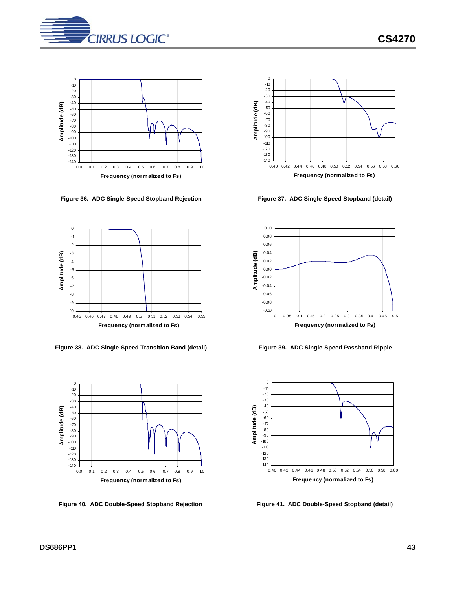



<span id="page-42-0"></span>**Figure 36. ADC Single-Speed Stopband Rejection Figure 37. ADC Single-Speed Stopband (detail)**



<span id="page-42-2"></span>**Figure 38. ADC Single-Speed Transition Band (detail) Figure 39. ADC Single-Speed Passband Ripple**





<span id="page-42-1"></span>



<span id="page-42-3"></span>

<span id="page-42-5"></span>

<span id="page-42-4"></span>Figure 40. ADC Double-Speed Stopband Rejection Figure 41. ADC Double-Speed Stopband (detail)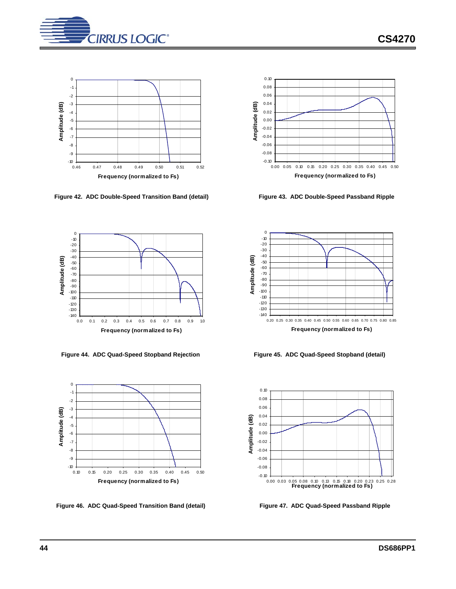

0 -1 -2 -3 Amplitude (dB) **Amplitude (dB)** -4 -5 -6 -7 -8 -9  $-10$ <br>0.46 0.46 0.47 0.48 0.49 0.50 0.51 0.52 **Frequency (normalized to Fs)**

<span id="page-43-0"></span>**Figure 42. ADC Double-Speed Transition Band (detail) Figure 43. ADC Double-Speed Passband Ripple**



<span id="page-43-2"></span>**Figure 44. ADC Quad-Speed Stopband Rejection Figure 45. ADC Quad-Speed Stopband (detail)**



<span id="page-43-4"></span>**Figure 46. ADC Quad-Speed Transition Band (detail) Figure 47. ADC Quad-Speed Passband Ripple**



<span id="page-43-1"></span>



<span id="page-43-3"></span>



<span id="page-43-5"></span>

**CS4270**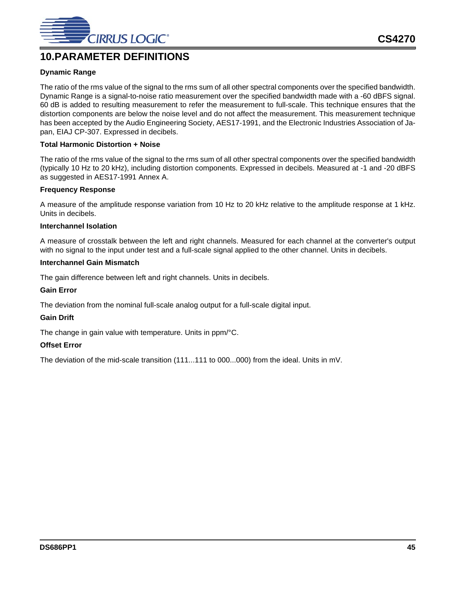

# <span id="page-44-0"></span>**10.PARAMETER DEFINITIONS**

### **Dynamic Range**

The ratio of the rms value of the signal to the rms sum of all other spectral components over the specified bandwidth. Dynamic Range is a signal-to-noise ratio measurement over the specified bandwidth made with a -60 dBFS signal. 60 dB is added to resulting measurement to refer the measurement to full-scale. This technique ensures that the distortion components are below the noise level and do not affect the measurement. This measurement technique has been accepted by the Audio Engineering Society, AES17-1991, and the Electronic Industries Association of Japan, EIAJ CP-307. Expressed in decibels.

### **Total Harmonic Distortion + Noise**

The ratio of the rms value of the signal to the rms sum of all other spectral components over the specified bandwidth (typically 10 Hz to 20 kHz), including distortion components. Expressed in decibels. Measured at -1 and -20 dBFS as suggested in AES17-1991 Annex A.

### **Frequency Response**

A measure of the amplitude response variation from 10 Hz to 20 kHz relative to the amplitude response at 1 kHz. Units in decibels.

### **Interchannel Isolation**

A measure of crosstalk between the left and right channels. Measured for each channel at the converter's output with no signal to the input under test and a full-scale signal applied to the other channel. Units in decibels.

### **Interchannel Gain Mismatch**

The gain difference between left and right channels. Units in decibels.

### **Gain Error**

The deviation from the nominal full-scale analog output for a full-scale digital input.

### **Gain Drift**

The change in gain value with temperature. Units in ppm/°C.

### **Offset Error**

The deviation of the mid-scale transition (111...111 to 000...000) from the ideal. Units in mV.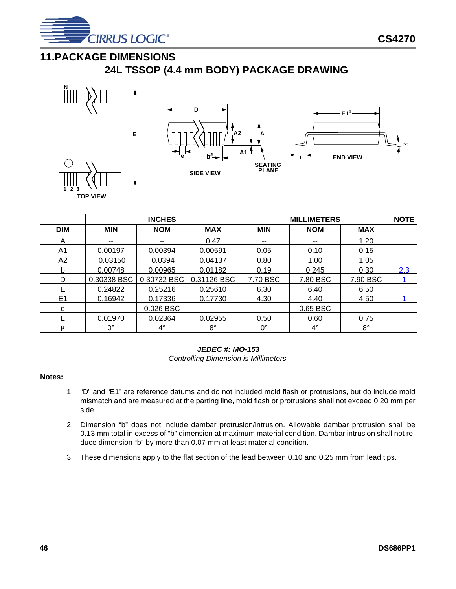

# <span id="page-45-0"></span>**11.PACKAGE DIMENSIONS**







|            | <b>INCHES</b> |             |             | <b>MILLIMETERS</b>       |            |             |     |
|------------|---------------|-------------|-------------|--------------------------|------------|-------------|-----|
| <b>DIM</b> | <b>MIN</b>    | <b>NOM</b>  | <b>MAX</b>  | <b>MIN</b>               | <b>NOM</b> | <b>MAX</b>  |     |
| Α          | --            | $- -$       | 0.47        | $\overline{\phantom{m}}$ | $-$        | 1.20        |     |
| A1         | 0.00197       | 0.00394     | 0.00591     | 0.05                     | 0.10       | 0.15        |     |
| A2         | 0.03150       | 0.0394      | 0.04137     | 0.80                     | 1.00       | 1.05        |     |
| b          | 0.00748       | 0.00965     | 0.01182     | 0.19                     | 0.245      | 0.30        | 2,3 |
| D          | 0.30338 BSC   | 0.30732 BSC | 0.31126 BSC | 7.70 BSC                 | 7.80 BSC   | 7.90 BSC    |     |
| E.         | 0.24822       | 0.25216     | 0.25610     | 6.30                     | 6.40       | 6.50        |     |
| E1         | 0.16942       | 0.17336     | 0.17730     | 4.30                     | 4.40       | 4.50        |     |
| e          | $- -$         | 0.026 BSC   | --          | $\overline{\phantom{a}}$ | 0.65 BSC   | $- -$       |     |
|            | 0.01970       | 0.02364     | 0.02955     | 0.50                     | 0.60       | 0.75        |     |
| μ          | 0°            | $4^{\circ}$ | 8°          | $0^{\circ}$              | $4^\circ$  | $8^{\circ}$ |     |

### *JEDEC #: MO-153*

*Controlling Dimension is Millimeters.*

### <span id="page-45-3"></span>**Notes:**

- 1. "D" and "E1" are reference datums and do not included mold flash or protrusions, but do include mold mismatch and are measured at the parting line, mold flash or protrusions shall not exceed 0.20 mm per side.
- <span id="page-45-1"></span>2. Dimension "b" does not include dambar protrusion/intrusion. Allowable dambar protrusion shall be 0.13 mm total in excess of "b" dimension at maximum material condition. Dambar intrusion shall not reduce dimension "b" by more than 0.07 mm at least material condition.
- <span id="page-45-2"></span>3. These dimensions apply to the flat section of the lead between 0.10 and 0.25 mm from lead tips.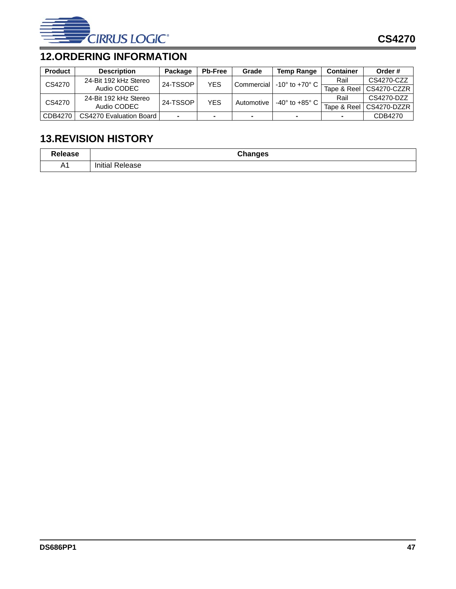

# <span id="page-46-0"></span>**12.ORDERING INFORMATION**

| <b>Product</b> | <b>Description</b>             | Package  | <b>Pb-Free</b> | Grade          | <b>Temp Range</b>                | <b>Container</b> | Order#      |
|----------------|--------------------------------|----------|----------------|----------------|----------------------------------|------------------|-------------|
| CS4270         | 24-Bit 192 kHz Stereo          | 24-TSSOP | <b>YES</b>     | Commercial     | $-10^{\circ}$ to $+70^{\circ}$ C | Rail             | CS4270-CZZ  |
|                | Audio CODEC                    |          |                |                |                                  | Tape & Reel      | CS4270-CZZR |
| CS4270         | 24-Bit 192 kHz Stereo          | 24-TSSOP | <b>YES</b>     | Automotive     | $-40^\circ$ to $+85^\circ$ C     | Rail             | CS4270-DZZ  |
|                | Audio CODEC                    |          |                |                |                                  | Tape & Reel      | CS4270-DZZR |
| CDB4270        | <b>CS4270 Evaluation Board</b> | $\sim$   |                | $\blacksquare$ |                                  |                  | CDB4270     |

# <span id="page-46-1"></span>**13.REVISION HISTORY**

| $-1$ anaa $-$<br>ıэc | <b>Changes</b> |
|----------------------|----------------|
| Λ4                   | Initia         |
| $\sim$ 1             | elease         |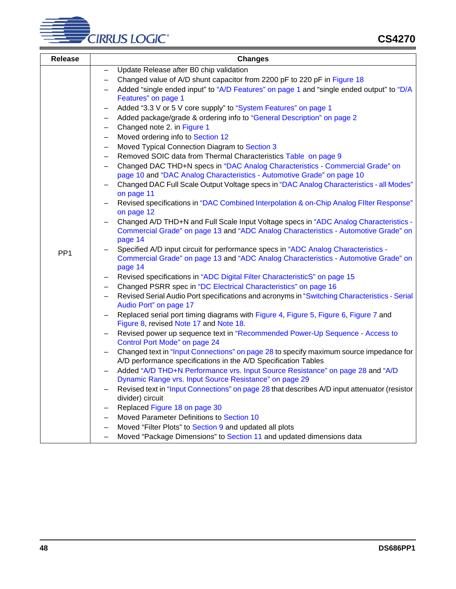

| <b>Release</b>  | <b>Changes</b>                                                                                      |  |  |  |
|-----------------|-----------------------------------------------------------------------------------------------------|--|--|--|
|                 | Update Release after B0 chip validation                                                             |  |  |  |
|                 | Changed value of A/D shunt capacitor from 2200 pF to 220 pF in Figure 18                            |  |  |  |
|                 | Added "single ended input" to "A/D Features" on page 1 and "single ended output" to "D/A            |  |  |  |
|                 | Features" on page 1                                                                                 |  |  |  |
|                 | Added "3.3 V or 5 V core supply" to "System Features" on page 1                                     |  |  |  |
|                 | Added package/grade & ordering info to "General Description" on page 2<br>$\qquad \qquad -$         |  |  |  |
|                 | Changed note 2. in Figure 1<br>$\qquad \qquad -$                                                    |  |  |  |
|                 | Moved ordering info to Section 12<br>$\qquad \qquad -$                                              |  |  |  |
|                 | Moved Typical Connection Diagram to Section 3<br>$\qquad \qquad -$                                  |  |  |  |
|                 | Removed SOIC data from Thermal Characteristics Table on page 9<br>$\qquad \qquad -$                 |  |  |  |
|                 | Changed DAC THD+N specs in "DAC Analog Characteristics - Commercial Grade" on                       |  |  |  |
|                 | page 10 and "DAC Analog Characteristics - Automotive Grade" on page 10                              |  |  |  |
|                 | Changed DAC Full Scale Output Voltage specs in "DAC Analog Characteristics - all Modes"             |  |  |  |
|                 | on page 11                                                                                          |  |  |  |
|                 | Revised specifications in "DAC Combined Interpolation & on-Chip Analog FlIter Response"             |  |  |  |
|                 | on page 12                                                                                          |  |  |  |
|                 | Changed A/D THD+N and Full Scale Input Voltage specs in "ADC Analog Characteristics -               |  |  |  |
|                 | Commercial Grade" on page 13 and "ADC Analog Characteristics - Automotive Grade" on                 |  |  |  |
|                 | page 14<br>Specified A/D input circuit for performance specs in "ADC Analog Characteristics -       |  |  |  |
| PP <sub>1</sub> | Commercial Grade" on page 13 and "ADC Analog Characteristics - Automotive Grade" on                 |  |  |  |
|                 | page 14                                                                                             |  |  |  |
|                 | Revised specifications in "ADC Digital Filter CharacteristicS" on page 15                           |  |  |  |
|                 | Changed PSRR spec in "DC Electrical Characteristics" on page 16                                     |  |  |  |
|                 | Revised Serial Audio Port specifications and acronyms in "Switching Characteristics - Serial        |  |  |  |
|                 | Audio Port" on page 17                                                                              |  |  |  |
|                 | Replaced serial port timing diagrams with Figure 4, Figure 5, Figure 6, Figure 7 and                |  |  |  |
|                 | Figure 8, revised Note 17 and Note 18.                                                              |  |  |  |
|                 | Revised power up sequence text in "Recommended Power-Up Sequence - Access to                        |  |  |  |
|                 | Control Port Mode" on page 24                                                                       |  |  |  |
|                 | Changed text in "Input Connections" on page 28 to specify maximum source impedance for              |  |  |  |
|                 | A/D performance specifications in the A/D Specification Tables                                      |  |  |  |
|                 | Added "A/D THD+N Performance vrs. Input Source Resistance" on page 28 and "A/D<br>$\qquad \qquad -$ |  |  |  |
|                 | Dynamic Range vrs. Input Source Resistance" on page 29                                              |  |  |  |
|                 | Revised text in "Input Connections" on page 28 that describes A/D input attenuator (resistor        |  |  |  |
|                 | divider) circuit                                                                                    |  |  |  |
|                 | Replaced Figure 18 on page 30<br>$\qquad \qquad -$                                                  |  |  |  |
|                 | Moved Parameter Definitions to Section 10<br>$-$                                                    |  |  |  |
|                 | Moved "Filter Plots" to Section 9 and updated all plots                                             |  |  |  |
|                 | Moved "Package Dimensions" to Section 11 and updated dimensions data                                |  |  |  |